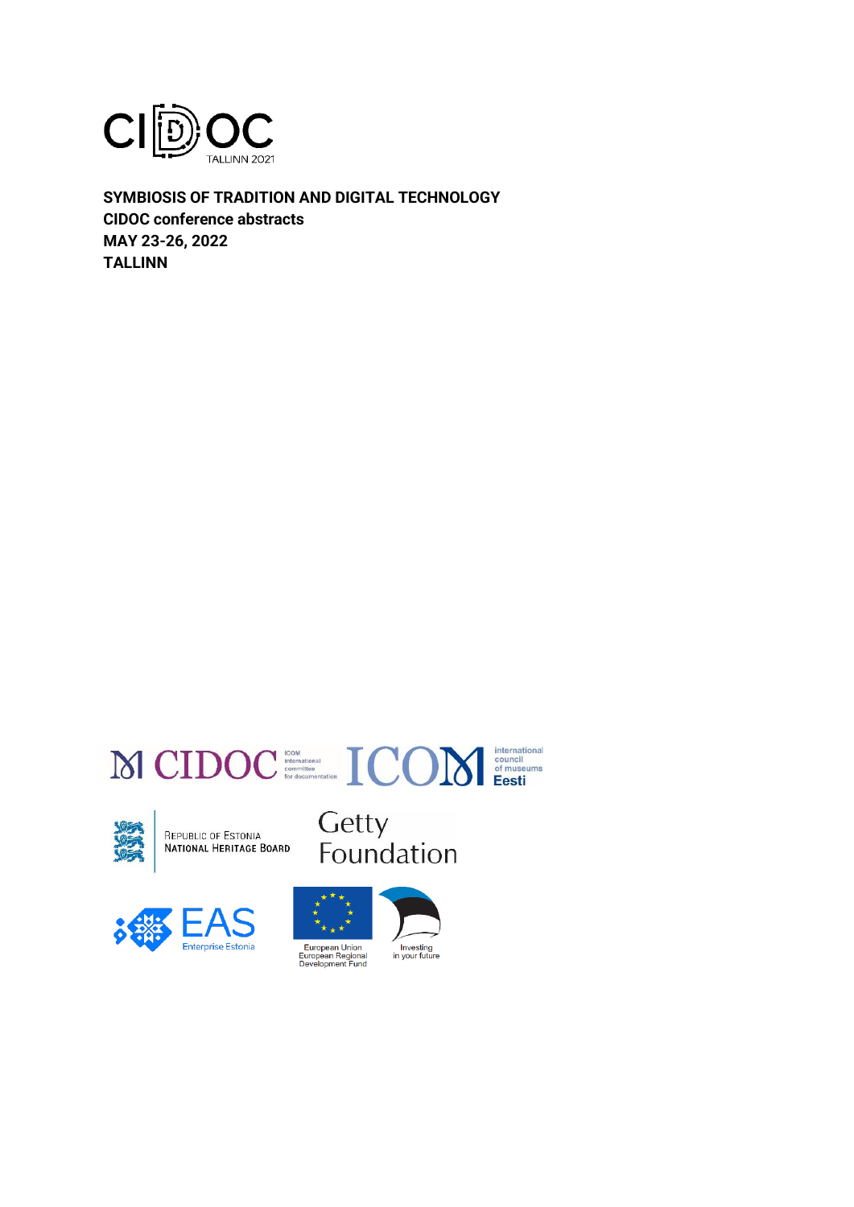

**SYMBIOSIS OF TRADITION AND DIGITAL TECHNOLOGY CIDOC conference abstracts MAY 23-26, 2022 TALLINN**





REPUBLIC OF ESTONIA<br>**NATIONAL HERITAGE BOARD** 







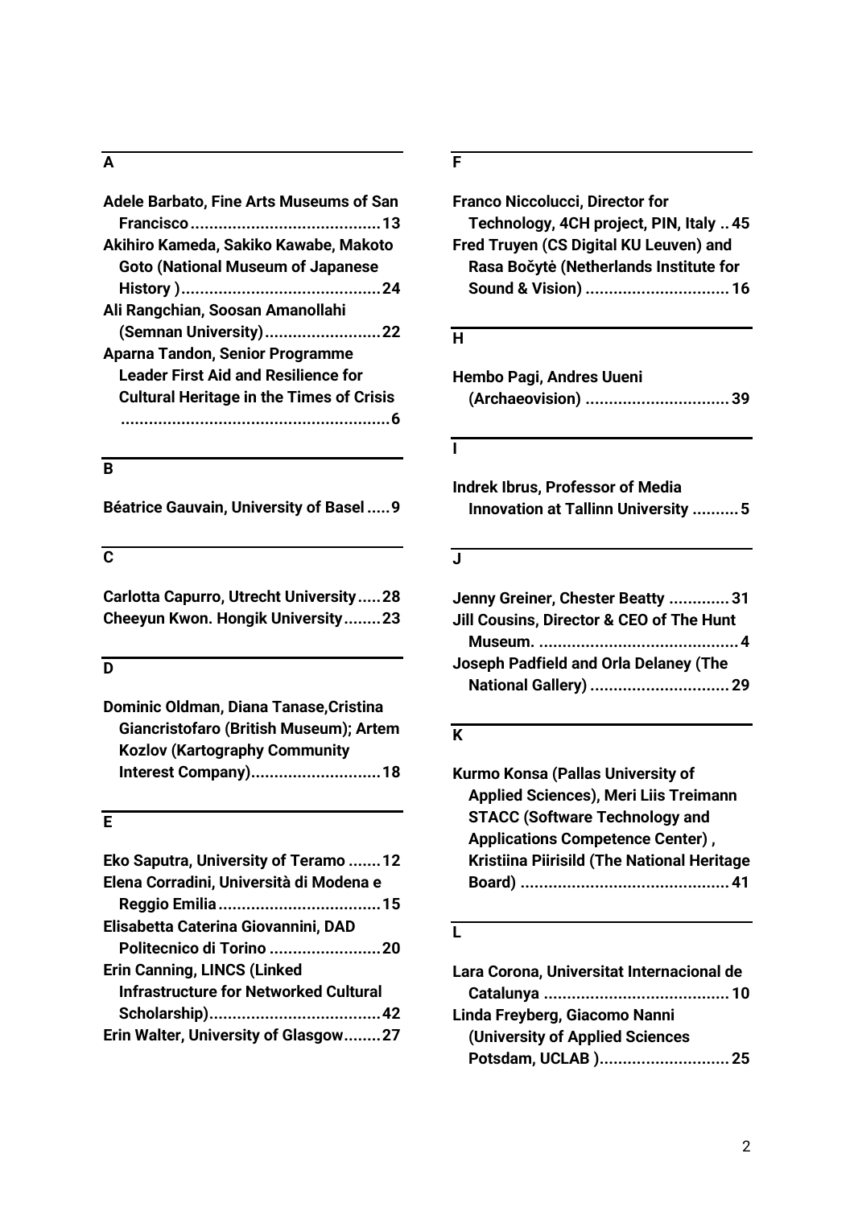#### **A**

| <b>Adele Barbato, Fine Arts Museums of San</b>  |
|-------------------------------------------------|
|                                                 |
| Akihiro Kameda, Sakiko Kawabe, Makoto           |
| <b>Goto (National Museum of Japanese</b>        |
|                                                 |
| Ali Rangchian, Soosan Amanollahi                |
| (Semnan University)22                           |
| Aparna Tandon, Senior Programme                 |
| <b>Leader First Aid and Resilience for</b>      |
| <b>Cultural Heritage in the Times of Crisis</b> |
|                                                 |
|                                                 |

### **B**

**Béatrice Gauvain, University of Basel .....9**

### **C**

**Carlotta Capurro, Utrecht University.....28 Cheeyun Kwon. Hongik University........23**

### **D**

**Dominic Oldman, Diana Tanase,Cristina Giancristofaro (British Museum); Artem Kozlov (Kartography Community Interest Company)............................18**

### **E**

| Eko Saputra, University of Teramo 12         |  |
|----------------------------------------------|--|
| Elena Corradini, Università di Modena e      |  |
|                                              |  |
| Elisabetta Caterina Giovannini, DAD          |  |
| Politecnico di Torino 20                     |  |
| <b>Erin Canning, LINCS (Linked</b>           |  |
| <b>Infrastructure for Networked Cultural</b> |  |
|                                              |  |
| Erin Walter, University of Glasgow27         |  |

### **F**

| <b>Franco Niccolucci, Director for</b>  |
|-----------------------------------------|
| Technology, 4CH project, PIN, Italy  45 |
| Fred Truyen (CS Digital KU Leuven) and  |
| Rasa Bočytė (Netherlands Institute for  |
| Sound & Vision)  16                     |

#### **H**

| Hembo Pagi, Andres Uueni |                    |
|--------------------------|--------------------|
|                          | (Archaeovision) 39 |

#### **I**

**Indrek Ibrus, Professor of Media Innovation at Tallinn University ..........5**

#### **J**

| Jenny Greiner, Chester Beatty 31         |  |
|------------------------------------------|--|
| Jill Cousins, Director & CEO of The Hunt |  |
|                                          |  |
| Joseph Padfield and Orla Delaney (The    |  |
| National Gallery)  29                    |  |
|                                          |  |

### **K**

**Kurmo Konsa (Pallas University of Applied Sciences), Meri Liis Treimann STACC (Software Technology and Applications Competence Center) , Kristiina Piirisild (The National Heritage Board) .............................................41**

#### **L**

| Lara Corona, Universitat Internacional de |  |
|-------------------------------------------|--|
|                                           |  |
| Linda Freyberg, Giacomo Nanni             |  |
| (University of Applied Sciences           |  |
| Potsdam, UCLAB )25                        |  |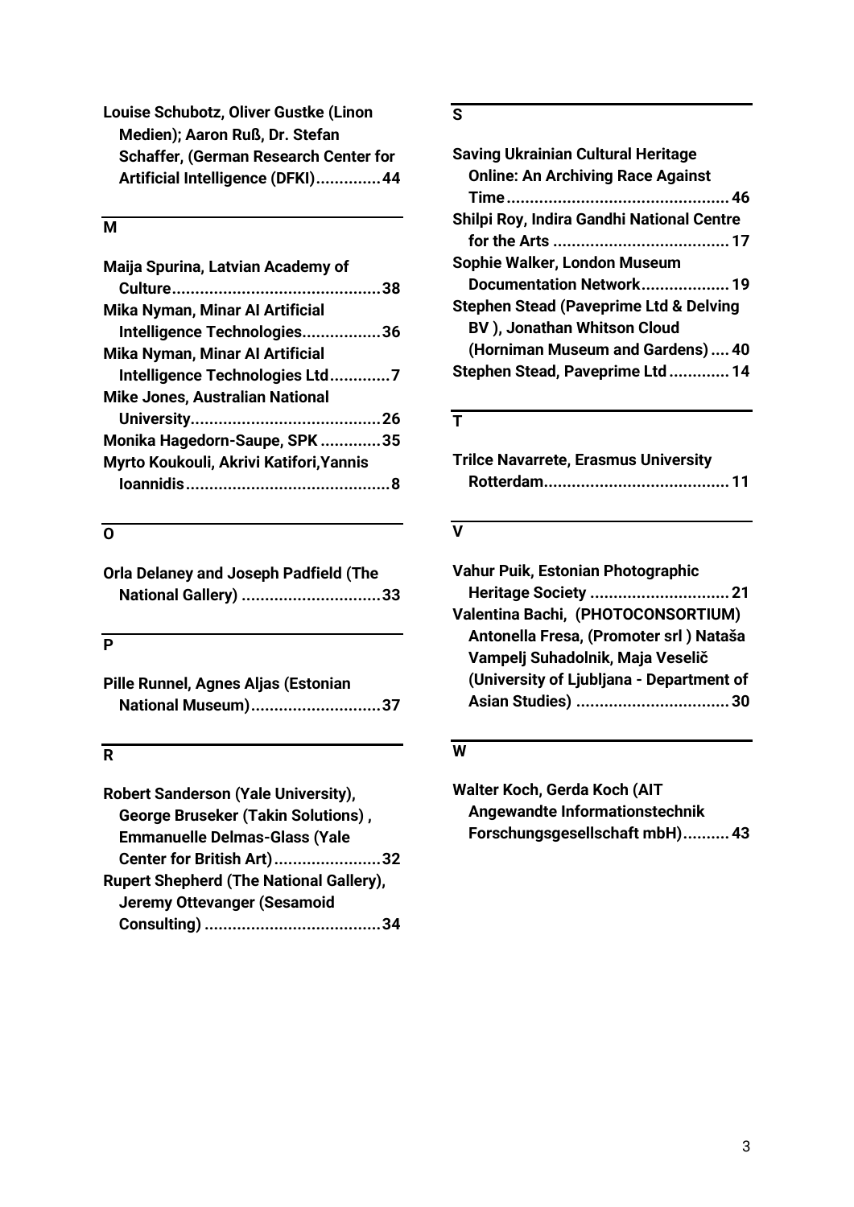| Louise Schubotz, Oliver Gustke (Linon        |  |
|----------------------------------------------|--|
| Medien); Aaron Ruß, Dr. Stefan               |  |
| <b>Schaffer, (German Research Center for</b> |  |
| Artificial Intelligence (DFKI)44             |  |

### **M**

| Maija Spurina, Latvian Academy of       |  |
|-----------------------------------------|--|
|                                         |  |
| Mika Nyman, Minar Al Artificial         |  |
| Intelligence Technologies36             |  |
| <b>Mika Nyman, Minar Al Artificial</b>  |  |
| Intelligence Technologies Ltd7          |  |
| <b>Mike Jones, Australian National</b>  |  |
|                                         |  |
| Monika Hagedorn-Saupe, SPK 35           |  |
| Myrto Koukouli, Akrivi Katifori, Yannis |  |
|                                         |  |
|                                         |  |

# **O**

| <b>Orla Delaney and Joseph Padfield (The</b> |  |
|----------------------------------------------|--|
| National Gallery) 33                         |  |

# **P**

| Pille Runnel, Agnes Aljas (Estonian |                    |
|-------------------------------------|--------------------|
|                                     | National Museum)37 |

# **R**

| Robert Sanderson (Yale University),            |
|------------------------------------------------|
| <b>George Bruseker (Takin Solutions),</b>      |
| <b>Emmanuelle Delmas-Glass (Yale</b>           |
| Center for British Art) 32                     |
| <b>Rupert Shepherd (The National Gallery),</b> |
| <b>Jeremy Ottevanger (Sesamoid</b>             |
|                                                |

## **S**

| <b>Saving Ukrainian Cultural Heritage</b>         |
|---------------------------------------------------|
| <b>Online: An Archiving Race Against</b>          |
|                                                   |
| Shilpi Roy, Indira Gandhi National Centre         |
|                                                   |
| Sophie Walker, London Museum                      |
| Documentation Network 19                          |
| <b>Stephen Stead (Paveprime Ltd &amp; Delving</b> |
| <b>BV</b> ), Jonathan Whitson Cloud               |
| (Horniman Museum and Gardens)40                   |
| Stephen Stead, Paveprime Ltd 14                   |
|                                                   |

# **T**

| <b>Trilce Navarrete, Erasmus University</b> |  |
|---------------------------------------------|--|
|                                             |  |

### **V**

| Vahur Puik, Estonian Photographic        |
|------------------------------------------|
|                                          |
| Valentina Bachi, (PHOTOCONSORTIUM)       |
| Antonella Fresa, (Promoter srl) Nataša   |
| Vampelj Suhadolnik, Maja Veselič         |
| (University of Ljubljana - Department of |
|                                          |
|                                          |

### **W**

**Walter Koch, Gerda Koch (AIT Angewandte Informationstechnik Forschungsgesellschaft mbH)..........43**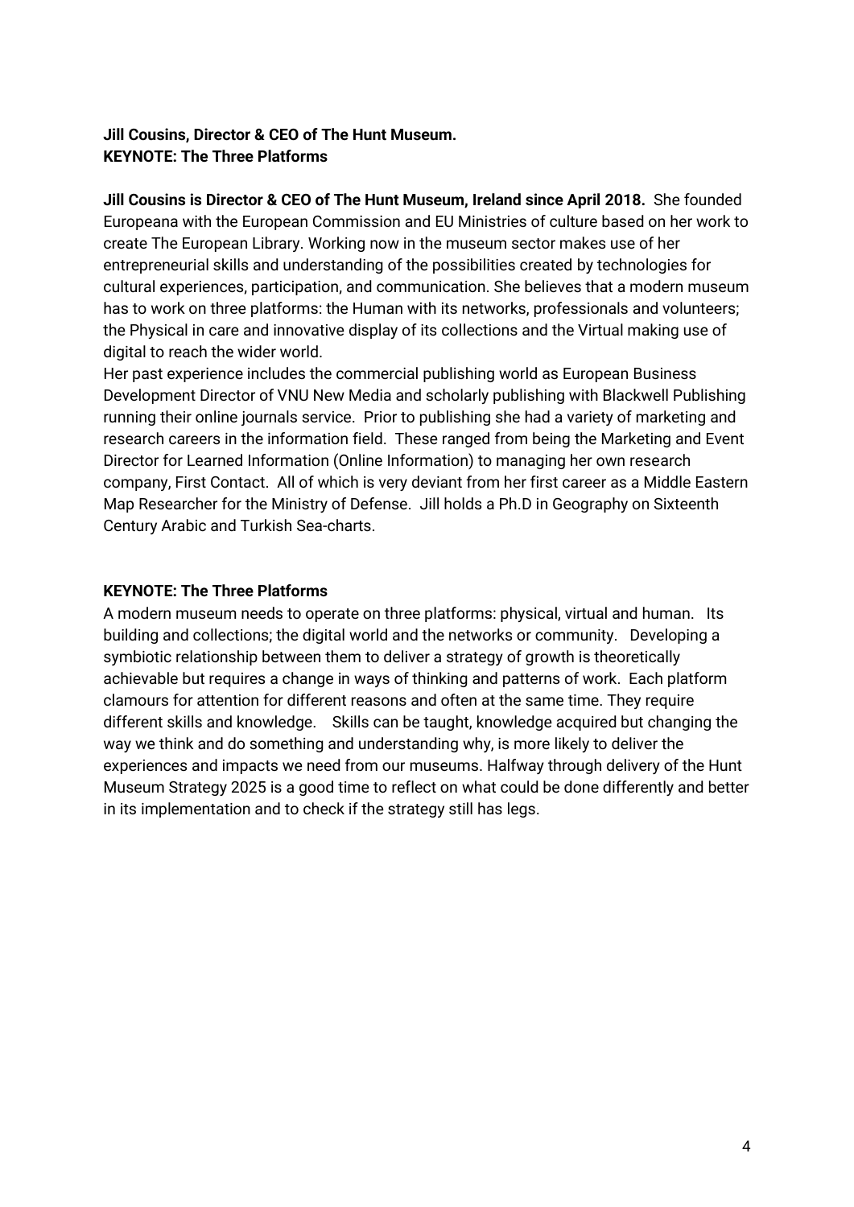### **Jill Cousins, Director & CEO of The Hunt Museum. KEYNOTE: The Three Platforms**

**Jill Cousins is Director & CEO of The Hunt Museum, Ireland since April 2018.** She founded Europeana with the European Commission and EU Ministries of culture based on her work to create The European Library. Working now in the museum sector makes use of her entrepreneurial skills and understanding of the possibilities created by technologies for cultural experiences, participation, and communication. She believes that a modern museum has to work on three platforms: the Human with its networks, professionals and volunteers; the Physical in care and innovative display of its collections and the Virtual making use of digital to reach the wider world.

Her past experience includes the commercial publishing world as European Business Development Director of VNU New Media and scholarly publishing with Blackwell Publishing running their online journals service. Prior to publishing she had a variety of marketing and research careers in the information field. These ranged from being the Marketing and Event Director for Learned Information (Online Information) to managing her own research company, First Contact. All of which is very deviant from her first career as a Middle Eastern Map Researcher for the Ministry of Defense. Jill holds a Ph.D in Geography on Sixteenth Century Arabic and Turkish Sea-charts.

### **KEYNOTE: The Three Platforms**

A modern museum needs to operate on three platforms: physical, virtual and human. Its building and collections; the digital world and the networks or community. Developing a symbiotic relationship between them to deliver a strategy of growth is theoretically achievable but requires a change in ways of thinking and patterns of work. Each platform clamours for attention for different reasons and often at the same time. They require different skills and knowledge. Skills can be taught, knowledge acquired but changing the way we think and do something and understanding why, is more likely to deliver the experiences and impacts we need from our museums. Halfway through delivery of the Hunt Museum Strategy 2025 is a good time to reflect on what could be done differently and better in its implementation and to check if the strategy still has legs.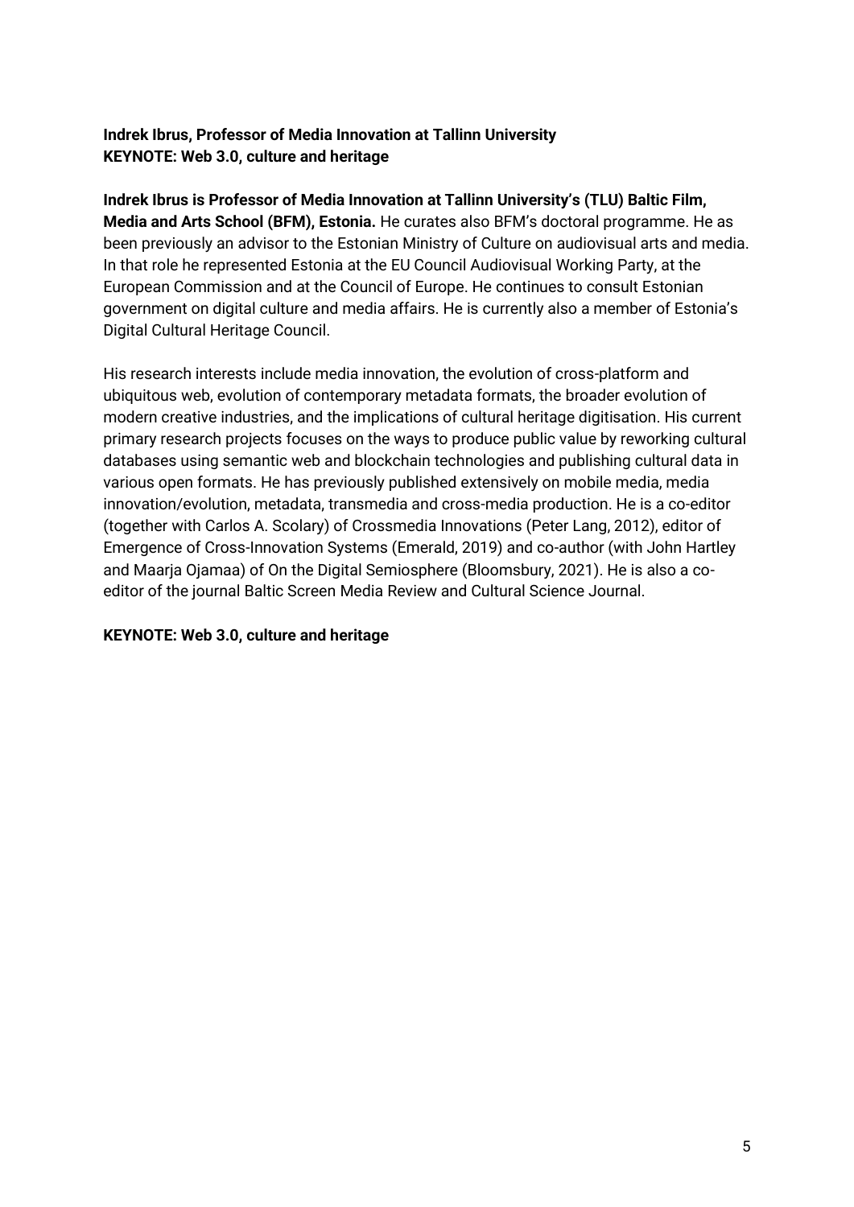### **Indrek Ibrus, Professor of Media Innovation at Tallinn University KEYNOTE: Web 3.0, culture and heritage**

### **Indrek Ibrus is Professor of Media Innovation at Tallinn University's (TLU) Baltic Film,**

**Media and Arts School (BFM), Estonia.** He curates also BFM's doctoral programme. He as been previously an advisor to the Estonian Ministry of Culture on audiovisual arts and media. In that role he represented Estonia at the EU Council Audiovisual Working Party, at the European Commission and at the Council of Europe. He continues to consult Estonian government on digital culture and media affairs. He is currently also a member of Estonia's Digital Cultural Heritage Council.

His research interests include media innovation, the evolution of cross-platform and ubiquitous web, evolution of contemporary metadata formats, the broader evolution of modern creative industries, and the implications of cultural heritage digitisation. His current primary research projects focuses on the ways to produce public value by reworking cultural databases using semantic web and blockchain technologies and publishing cultural data in various open formats. He has previously published extensively on mobile media, media innovation/evolution, metadata, transmedia and cross-media production. He is a co-editor (together with Carlos A. Scolary) of Crossmedia Innovations (Peter Lang, 2012), editor of Emergence of Cross-Innovation Systems (Emerald, 2019) and co-author (with John Hartley and Maarja Ojamaa) of On the Digital Semiosphere (Bloomsbury, 2021). He is also a coeditor of the journal Baltic Screen Media Review and Cultural Science Journal.

### **KEYNOTE: Web 3.0, culture and heritage**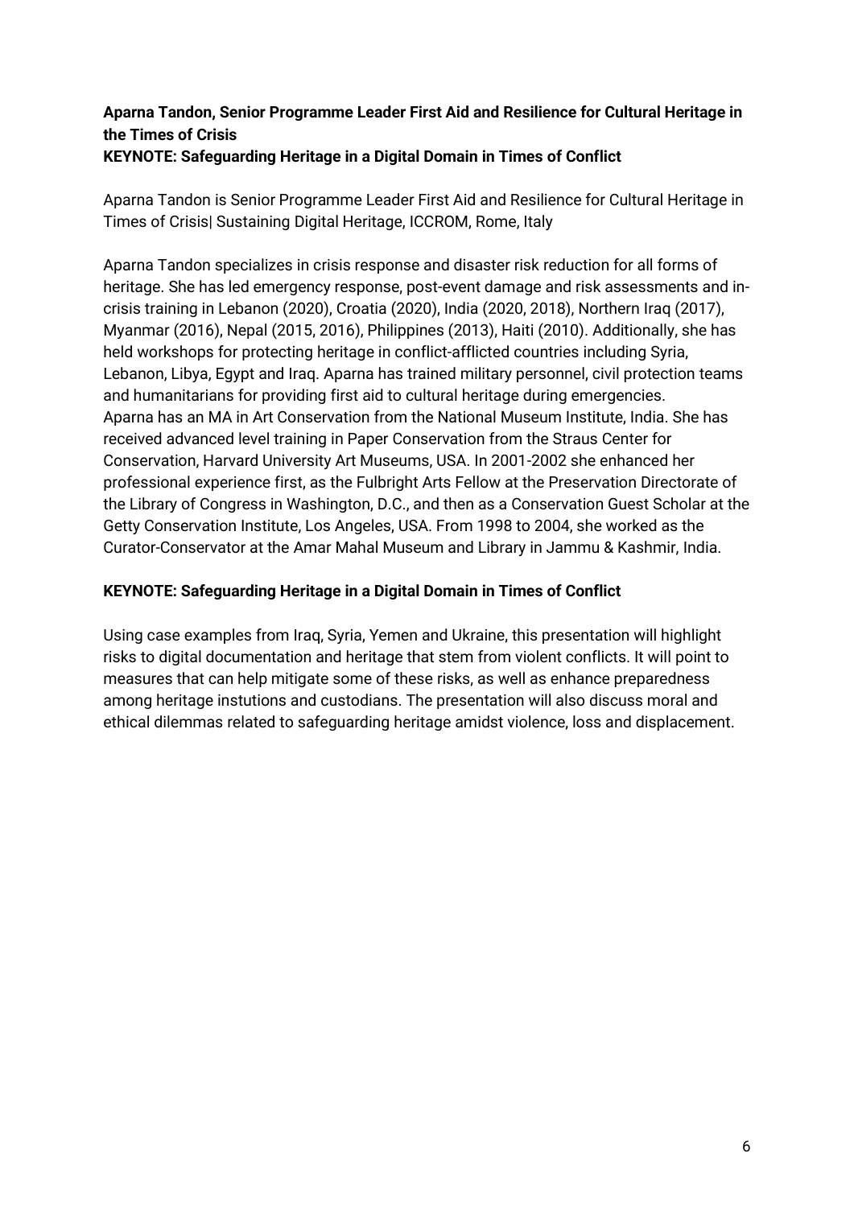### **Aparna Tandon, Senior Programme Leader First Aid and Resilience for Cultural Heritage in the Times of Crisis KEYNOTE: Safeguarding Heritage in a Digital Domain in Times of Conflict**

Aparna Tandon is Senior Programme Leader First Aid and Resilience for Cultural Heritage in Times of Crisis| Sustaining Digital Heritage, ICCROM, Rome, Italy

Aparna Tandon specializes in crisis response and disaster risk reduction for all forms of heritage. She has led emergency response, post-event damage and risk assessments and incrisis training in Lebanon (2020), Croatia (2020), India (2020, 2018), Northern Iraq (2017), Myanmar (2016), Nepal (2015, 2016), Philippines (2013), Haiti (2010). Additionally, she has held workshops for protecting heritage in conflict-afflicted countries including Syria, Lebanon, Libya, Egypt and Iraq. Aparna has trained military personnel, civil protection teams and humanitarians for providing first aid to cultural heritage during emergencies. Aparna has an MA in Art Conservation from the National Museum Institute, India. She has received advanced level training in Paper Conservation from the Straus Center for Conservation, Harvard University Art Museums, USA. In 2001-2002 she enhanced her professional experience first, as the Fulbright Arts Fellow at the Preservation Directorate of the Library of Congress in Washington, D.C., and then as a Conservation Guest Scholar at the Getty Conservation Institute, Los Angeles, USA. From 1998 to 2004, she worked as the Curator-Conservator at the Amar Mahal Museum and Library in Jammu & Kashmir, India.

### **KEYNOTE: Safeguarding Heritage in a Digital Domain in Times of Conflict**

Using case examples from Iraq, Syria, Yemen and Ukraine, this presentation will highlight risks to digital documentation and heritage that stem from violent conflicts. It will point to measures that can help mitigate some of these risks, as well as enhance preparedness among heritage instutions and custodians. The presentation will also discuss moral and ethical dilemmas related to safeguarding heritage amidst violence, loss and displacement.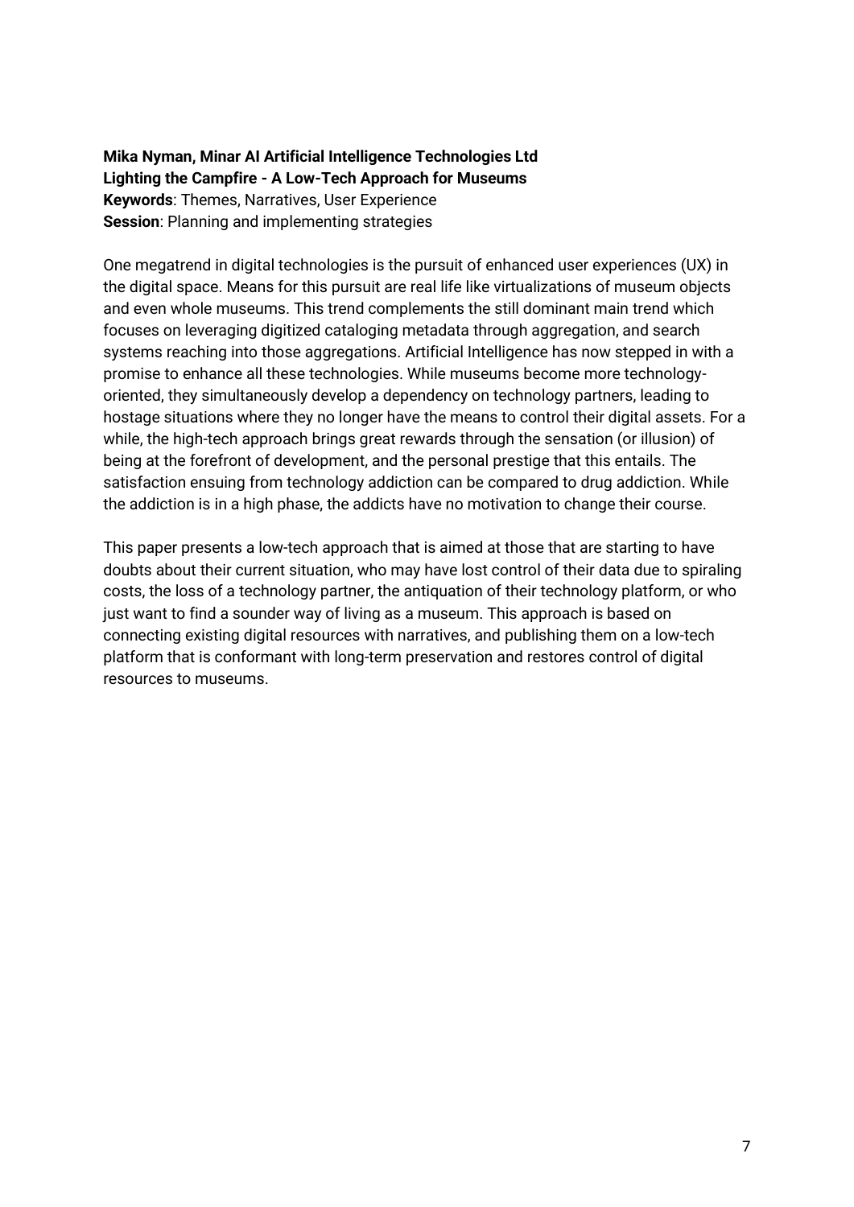**Mika Nyman, Minar AI Artificial Intelligence Technologies Ltd Lighting the Campfire - A Low-Tech Approach for Museums Keywords**: Themes, Narratives, User Experience **Session**: Planning and implementing strategies

One megatrend in digital technologies is the pursuit of enhanced user experiences (UX) in the digital space. Means for this pursuit are real life like virtualizations of museum objects and even whole museums. This trend complements the still dominant main trend which focuses on leveraging digitized cataloging metadata through aggregation, and search systems reaching into those aggregations. Artificial Intelligence has now stepped in with a promise to enhance all these technologies. While museums become more technologyoriented, they simultaneously develop a dependency on technology partners, leading to hostage situations where they no longer have the means to control their digital assets. For a while, the high-tech approach brings great rewards through the sensation (or illusion) of being at the forefront of development, and the personal prestige that this entails. The satisfaction ensuing from technology addiction can be compared to drug addiction. While the addiction is in a high phase, the addicts have no motivation to change their course.

This paper presents a low-tech approach that is aimed at those that are starting to have doubts about their current situation, who may have lost control of their data due to spiraling costs, the loss of a technology partner, the antiquation of their technology platform, or who just want to find a sounder way of living as a museum. This approach is based on connecting existing digital resources with narratives, and publishing them on a low-tech platform that is conformant with long-term preservation and restores control of digital resources to museums.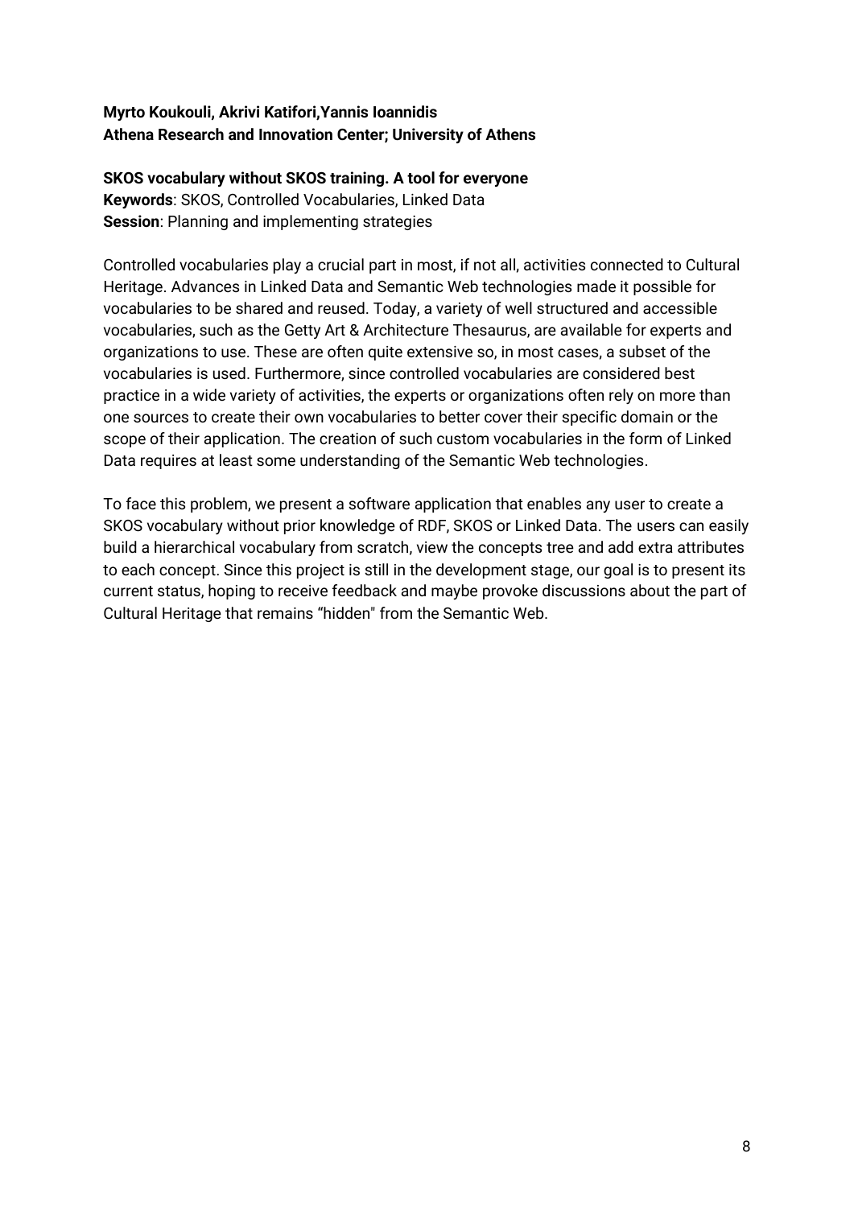### **Myrto Koukouli, Akrivi Katifori,Yannis Ioannidis Athena Research and Innovation Center; University of Athens**

### **SKOS vocabulary without SKOS training. A tool for everyone Keywords**: SKOS, Controlled Vocabularies, Linked Data **Session**: Planning and implementing strategies

Controlled vocabularies play a crucial part in most, if not all, activities connected to Cultural Heritage. Advances in Linked Data and Semantic Web technologies made it possible for vocabularies to be shared and reused. Today, a variety of well structured and accessible vocabularies, such as the Getty Art & Architecture Thesaurus, are available for experts and organizations to use. These are often quite extensive so, in most cases, a subset of the vocabularies is used. Furthermore, since controlled vocabularies are considered best practice in a wide variety of activities, the experts or organizations often rely on more than one sources to create their own vocabularies to better cover their specific domain or the scope of their application. The creation of such custom vocabularies in the form of Linked Data requires at least some understanding of the Semantic Web technologies.

To face this problem, we present a software application that enables any user to create a SKOS vocabulary without prior knowledge of RDF, SKOS or Linked Data. The users can easily build a hierarchical vocabulary from scratch, view the concepts tree and add extra attributes to each concept. Since this project is still in the development stage, our goal is to present its current status, hoping to receive feedback and maybe provoke discussions about the part of Cultural Heritage that remains "hidden" from the Semantic Web.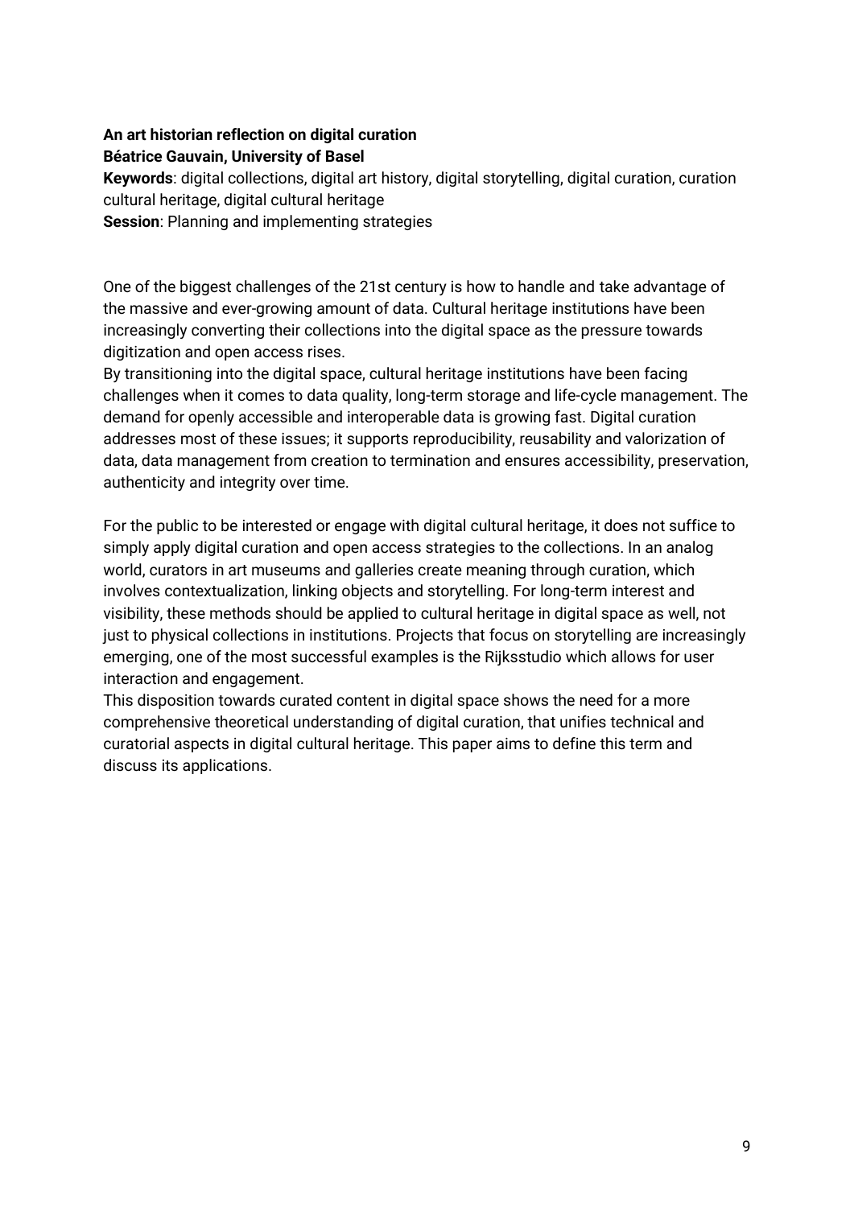### **An art historian reflection on digital curation Béatrice Gauvain, University of Basel**

**Keywords**: digital collections, digital art history, digital storytelling, digital curation, curation cultural heritage, digital cultural heritage

**Session**: Planning and implementing strategies

One of the biggest challenges of the 21st century is how to handle and take advantage of the massive and ever-growing amount of data. Cultural heritage institutions have been increasingly converting their collections into the digital space as the pressure towards digitization and open access rises.

By transitioning into the digital space, cultural heritage institutions have been facing challenges when it comes to data quality, long-term storage and life-cycle management. The demand for openly accessible and interoperable data is growing fast. Digital curation addresses most of these issues; it supports reproducibility, reusability and valorization of data, data management from creation to termination and ensures accessibility, preservation, authenticity and integrity over time.

For the public to be interested or engage with digital cultural heritage, it does not suffice to simply apply digital curation and open access strategies to the collections. In an analog world, curators in art museums and galleries create meaning through curation, which involves contextualization, linking objects and storytelling. For long-term interest and visibility, these methods should be applied to cultural heritage in digital space as well, not just to physical collections in institutions. Projects that focus on storytelling are increasingly emerging, one of the most successful examples is the Rijksstudio which allows for user interaction and engagement.

This disposition towards curated content in digital space shows the need for a more comprehensive theoretical understanding of digital curation, that unifies technical and curatorial aspects in digital cultural heritage. This paper aims to define this term and discuss its applications.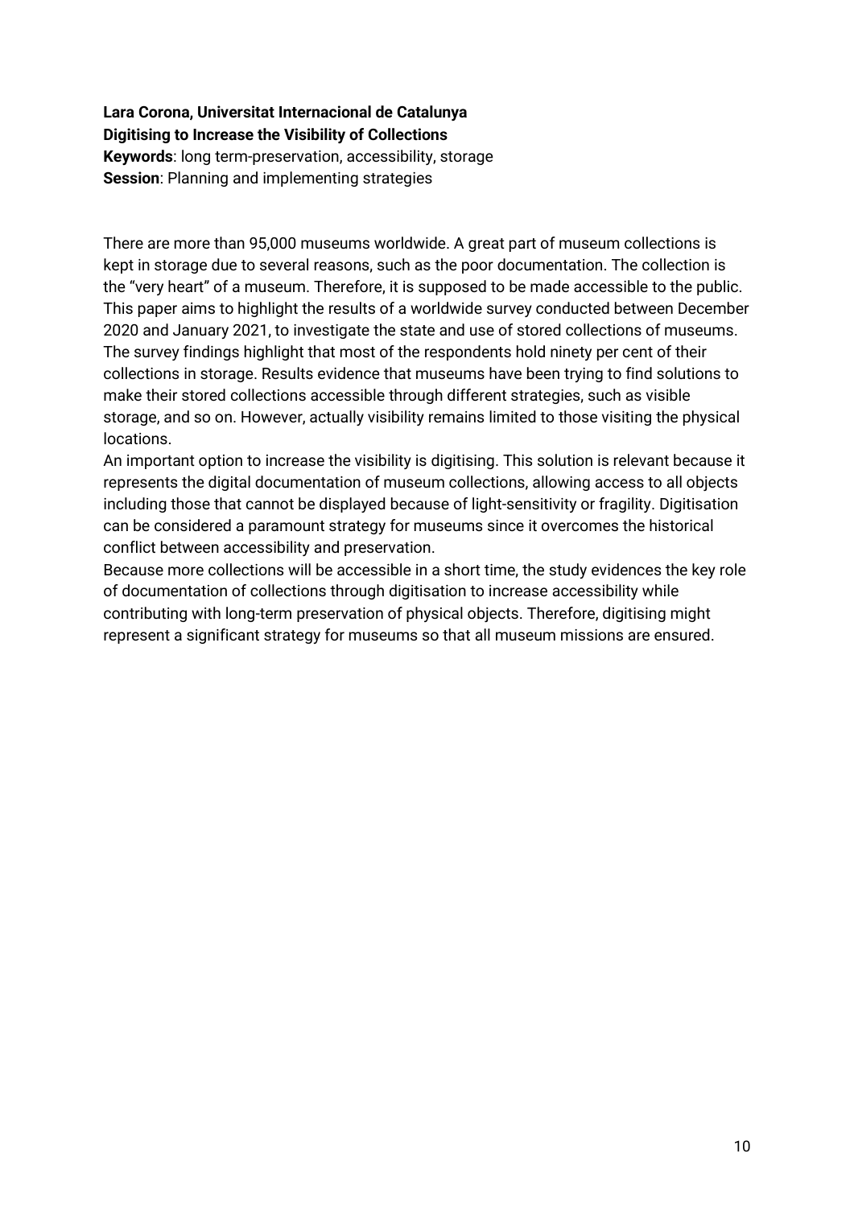**Lara Corona, Universitat Internacional de Catalunya Digitising to Increase the Visibility of Collections Keywords**: long term-preservation, accessibility, storage **Session**: Planning and implementing strategies

There are more than 95,000 museums worldwide. A great part of museum collections is kept in storage due to several reasons, such as the poor documentation. The collection is the "very heart" of a museum. Therefore, it is supposed to be made accessible to the public. This paper aims to highlight the results of a worldwide survey conducted between December 2020 and January 2021, to investigate the state and use of stored collections of museums. The survey findings highlight that most of the respondents hold ninety per cent of their collections in storage. Results evidence that museums have been trying to find solutions to make their stored collections accessible through different strategies, such as visible storage, and so on. However, actually visibility remains limited to those visiting the physical locations.

An important option to increase the visibility is digitising. This solution is relevant because it represents the digital documentation of museum collections, allowing access to all objects including those that cannot be displayed because of light-sensitivity or fragility. Digitisation can be considered a paramount strategy for museums since it overcomes the historical conflict between accessibility and preservation.

Because more collections will be accessible in a short time, the study evidences the key role of documentation of collections through digitisation to increase accessibility while contributing with long-term preservation of physical objects. Therefore, digitising might represent a significant strategy for museums so that all museum missions are ensured.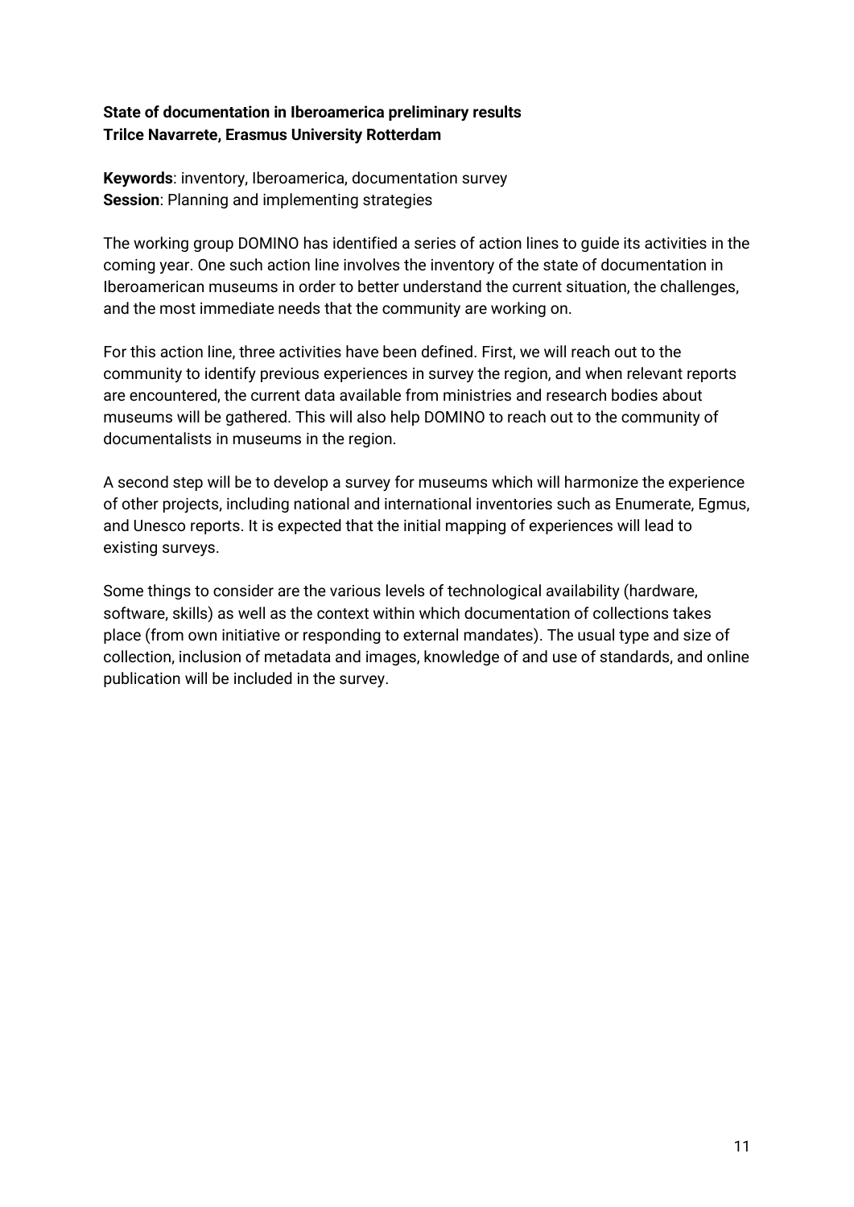### **State of documentation in Iberoamerica preliminary results Trilce Navarrete, Erasmus University Rotterdam**

**Keywords**: inventory, Iberoamerica, documentation survey **Session**: Planning and implementing strategies

The working group DOMINO has identified a series of action lines to guide its activities in the coming year. One such action line involves the inventory of the state of documentation in Iberoamerican museums in order to better understand the current situation, the challenges, and the most immediate needs that the community are working on.

For this action line, three activities have been defined. First, we will reach out to the community to identify previous experiences in survey the region, and when relevant reports are encountered, the current data available from ministries and research bodies about museums will be gathered. This will also help DOMINO to reach out to the community of documentalists in museums in the region.

A second step will be to develop a survey for museums which will harmonize the experience of other projects, including national and international inventories such as Enumerate, Egmus, and Unesco reports. It is expected that the initial mapping of experiences will lead to existing surveys.

Some things to consider are the various levels of technological availability (hardware, software, skills) as well as the context within which documentation of collections takes place (from own initiative or responding to external mandates). The usual type and size of collection, inclusion of metadata and images, knowledge of and use of standards, and online publication will be included in the survey.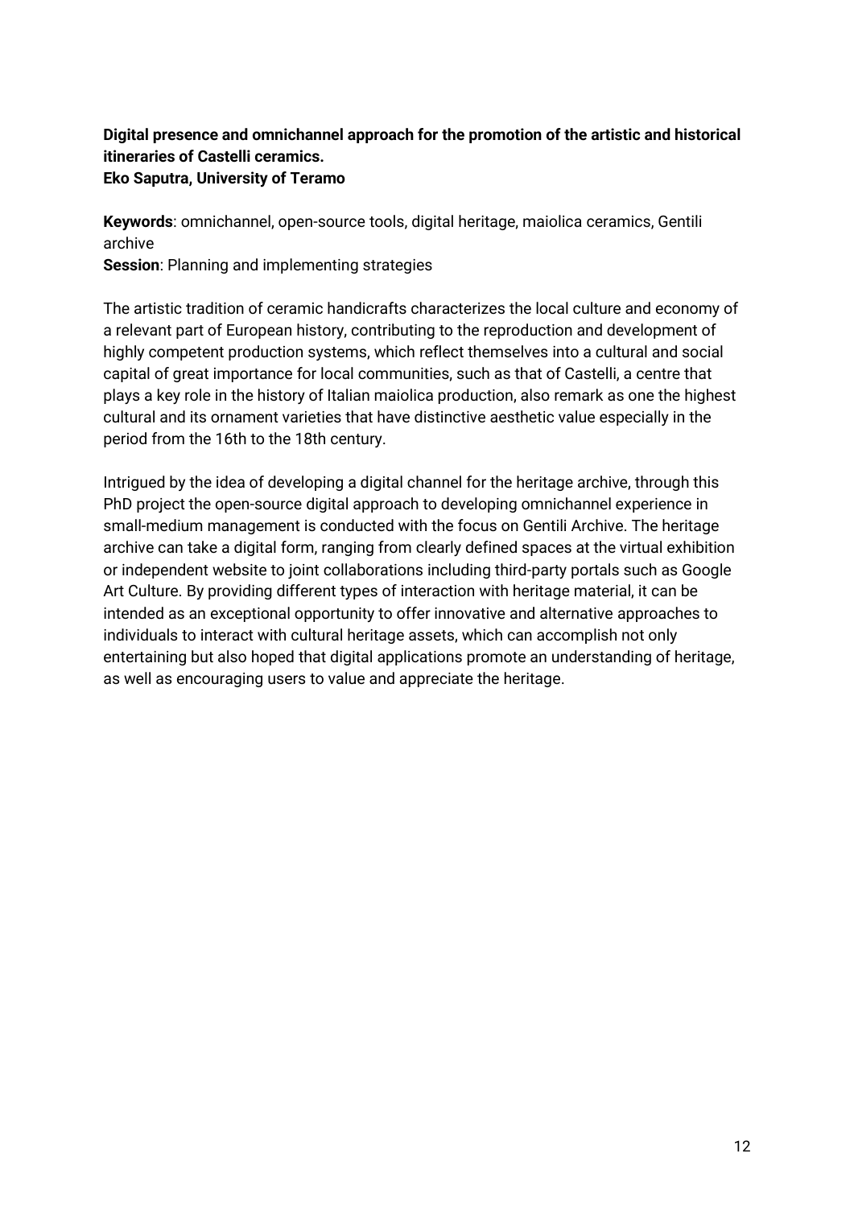### **Digital presence and omnichannel approach for the promotion of the artistic and historical itineraries of Castelli ceramics. Eko Saputra, University of Teramo**

**Keywords**: omnichannel, open-source tools, digital heritage, maiolica ceramics, Gentili archive

**Session**: Planning and implementing strategies

The artistic tradition of ceramic handicrafts characterizes the local culture and economy of a relevant part of European history, contributing to the reproduction and development of highly competent production systems, which reflect themselves into a cultural and social capital of great importance for local communities, such as that of Castelli, a centre that plays a key role in the history of Italian maiolica production, also remark as one the highest cultural and its ornament varieties that have distinctive aesthetic value especially in the period from the 16th to the 18th century.

Intrigued by the idea of developing a digital channel for the heritage archive, through this PhD project the open-source digital approach to developing omnichannel experience in small-medium management is conducted with the focus on Gentili Archive. The heritage archive can take a digital form, ranging from clearly defined spaces at the virtual exhibition or independent website to joint collaborations including third-party portals such as Google Art Culture. By providing different types of interaction with heritage material, it can be intended as an exceptional opportunity to offer innovative and alternative approaches to individuals to interact with cultural heritage assets, which can accomplish not only entertaining but also hoped that digital applications promote an understanding of heritage, as well as encouraging users to value and appreciate the heritage.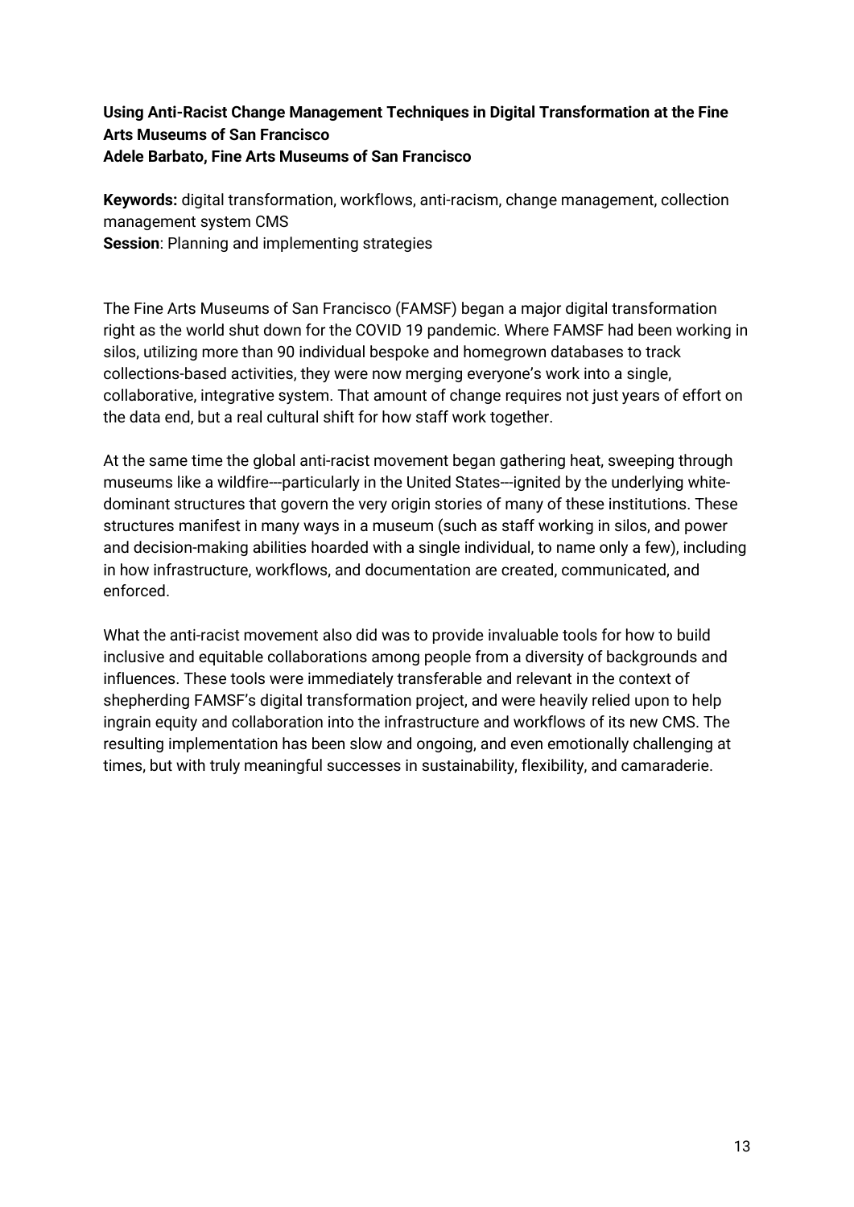### **Using Anti-Racist Change Management Techniques in Digital Transformation at the Fine Arts Museums of San Francisco Adele Barbato, Fine Arts Museums of San Francisco**

**Keywords:** digital transformation, workflows, anti-racism, change management, collection management system CMS **Session**: Planning and implementing strategies

The Fine Arts Museums of San Francisco (FAMSF) began a major digital transformation right as the world shut down for the COVID 19 pandemic. Where FAMSF had been working in silos, utilizing more than 90 individual bespoke and homegrown databases to track collections-based activities, they were now merging everyone's work into a single, collaborative, integrative system. That amount of change requires not just years of effort on the data end, but a real cultural shift for how staff work together.

At the same time the global anti-racist movement began gathering heat, sweeping through museums like a wildfire---particularly in the United States---ignited by the underlying whitedominant structures that govern the very origin stories of many of these institutions. These structures manifest in many ways in a museum (such as staff working in silos, and power and decision-making abilities hoarded with a single individual, to name only a few), including in how infrastructure, workflows, and documentation are created, communicated, and enforced.

What the anti-racist movement also did was to provide invaluable tools for how to build inclusive and equitable collaborations among people from a diversity of backgrounds and influences. These tools were immediately transferable and relevant in the context of shepherding FAMSF's digital transformation project, and were heavily relied upon to help ingrain equity and collaboration into the infrastructure and workflows of its new CMS. The resulting implementation has been slow and ongoing, and even emotionally challenging at times, but with truly meaningful successes in sustainability, flexibility, and camaraderie.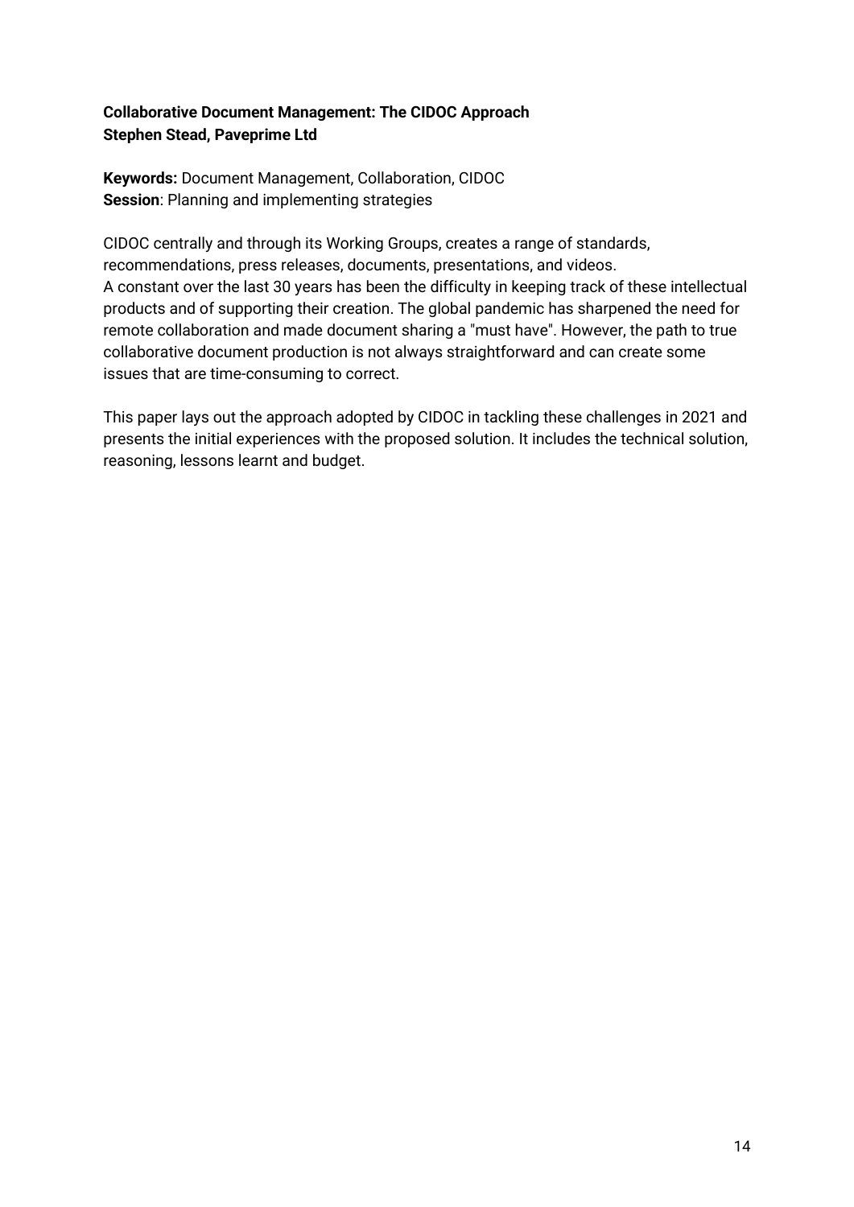### **Collaborative Document Management: The CIDOC Approach Stephen Stead, Paveprime Ltd**

**Keywords:** Document Management, Collaboration, CIDOC **Session**: Planning and implementing strategies

CIDOC centrally and through its Working Groups, creates a range of standards, recommendations, press releases, documents, presentations, and videos. A constant over the last 30 years has been the difficulty in keeping track of these intellectual products and of supporting their creation. The global pandemic has sharpened the need for remote collaboration and made document sharing a "must have". However, the path to true collaborative document production is not always straightforward and can create some issues that are time-consuming to correct.

This paper lays out the approach adopted by CIDOC in tackling these challenges in 2021 and presents the initial experiences with the proposed solution. It includes the technical solution, reasoning, lessons learnt and budget.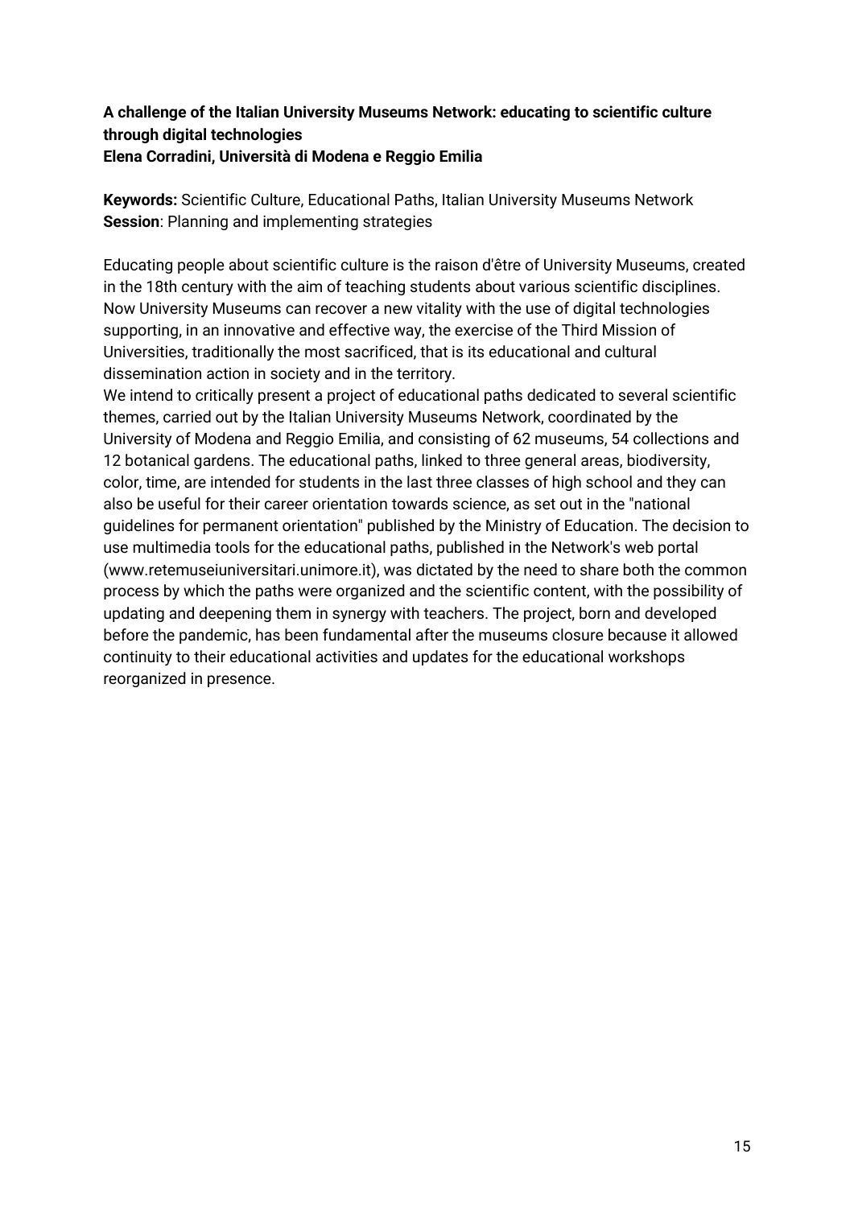### **A challenge of the Italian University Museums Network: educating to scientific culture through digital technologies Elena Corradini, Università di Modena e Reggio Emilia**

**Keywords:** Scientific Culture, Educational Paths, Italian University Museums Network **Session**: Planning and implementing strategies

Educating people about scientific culture is the raison d'être of University Museums, created in the 18th century with the aim of teaching students about various scientific disciplines. Now University Museums can recover a new vitality with the use of digital technologies supporting, in an innovative and effective way, the exercise of the Third Mission of Universities, traditionally the most sacrificed, that is its educational and cultural dissemination action in society and in the territory.

We intend to critically present a project of educational paths dedicated to several scientific themes, carried out by the Italian University Museums Network, coordinated by the University of Modena and Reggio Emilia, and consisting of 62 museums, 54 collections and 12 botanical gardens. The educational paths, linked to three general areas, biodiversity, color, time, are intended for students in the last three classes of high school and they can also be useful for their career orientation towards science, as set out in the "national guidelines for permanent orientation" published by the Ministry of Education. The decision to use multimedia tools for the educational paths, published in the Network's web portal (www.retemuseiuniversitari.unimore.it), was dictated by the need to share both the common process by which the paths were organized and the scientific content, with the possibility of updating and deepening them in synergy with teachers. The project, born and developed before the pandemic, has been fundamental after the museums closure because it allowed continuity to their educational activities and updates for the educational workshops reorganized in presence.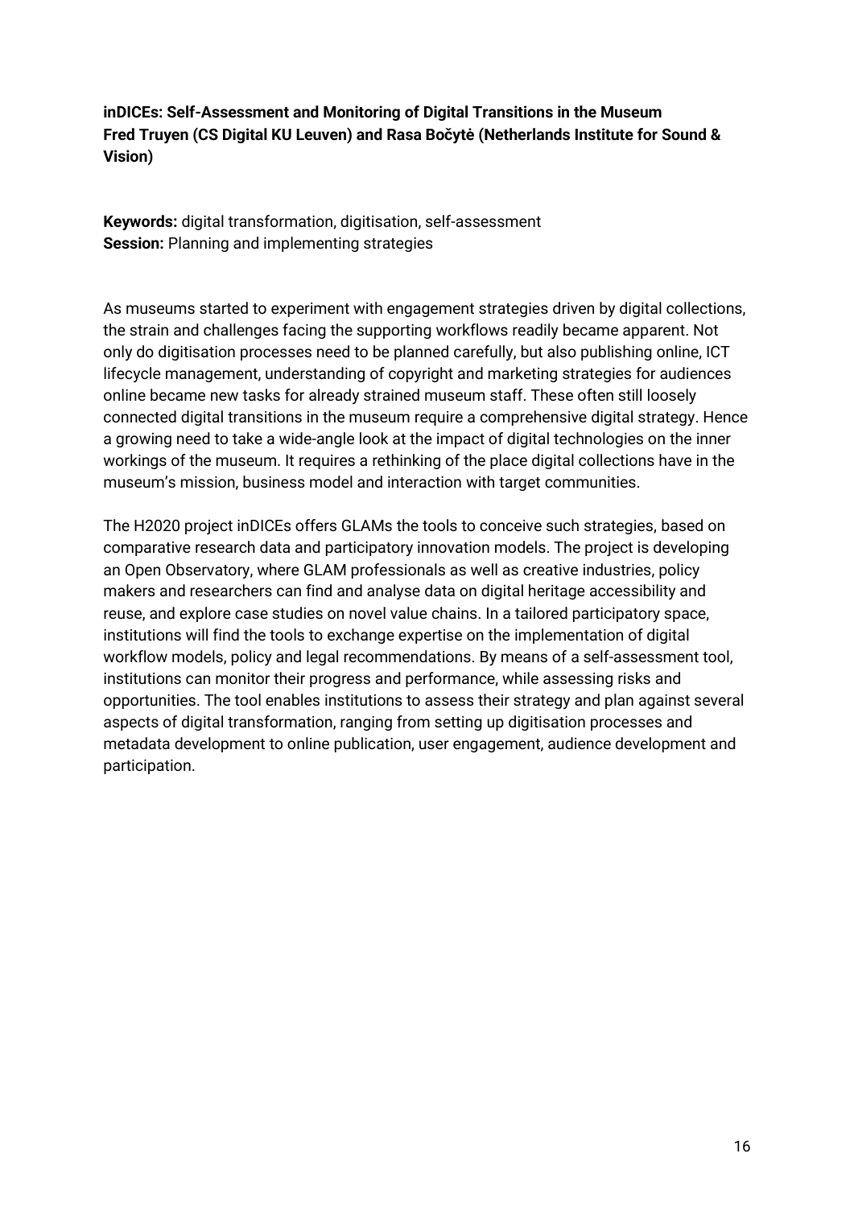**inDICEs: Self-Assessment and Monitoring of Digital Transitions in the Museum Fred Truyen (CS Digital KU Leuven) and Rasa Bočytė (Netherlands Institute for Sound & Vision)**

**Keywords:** digital transformation, digitisation, self-assessment **Session:** Planning and implementing strategies

As museums started to experiment with engagement strategies driven by digital collections, the strain and challenges facing the supporting workflows readily became apparent. Not only do digitisation processes need to be planned carefully, but also publishing online, ICT lifecycle management, understanding of copyright and marketing strategies for audiences online became new tasks for already strained museum staff. These often still loosely connected digital transitions in the museum require a comprehensive digital strategy. Hence a growing need to take a wide-angle look at the impact of digital technologies on the inner workings of the museum. It requires a rethinking of the place digital collections have in the museum's mission, business model and interaction with target communities.

The H2020 project inDICEs offers GLAMs the tools to conceive such strategies, based on comparative research data and participatory innovation models. The project is developing an Open Observatory, where GLAM professionals as well as creative industries, policy makers and researchers can find and analyse data on digital heritage accessibility and reuse, and explore case studies on novel value chains. In a tailored participatory space, institutions will find the tools to exchange expertise on the implementation of digital workflow models, policy and legal recommendations. By means of a self-assessment tool, institutions can monitor their progress and performance, while assessing risks and opportunities. The tool enables institutions to assess their strategy and plan against several aspects of digital transformation, ranging from setting up digitisation processes and metadata development to online publication, user engagement, audience development and participation.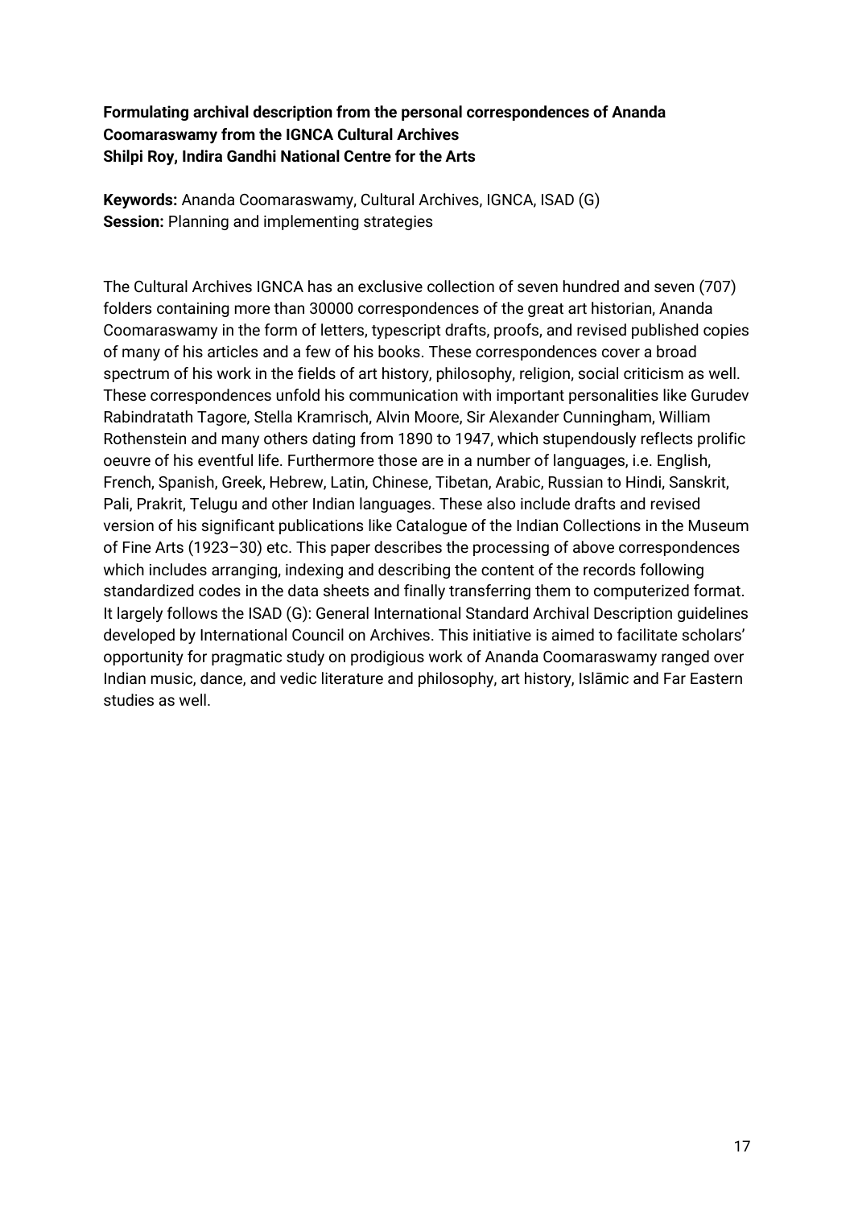**Formulating archival description from the personal correspondences of Ananda Coomaraswamy from the IGNCA Cultural Archives Shilpi Roy, Indira Gandhi National Centre for the Arts**

**Keywords:** Ananda Coomaraswamy, Cultural Archives, IGNCA, ISAD (G) **Session:** Planning and implementing strategies

The Cultural Archives IGNCA has an exclusive collection of seven hundred and seven (707) folders containing more than 30000 correspondences of the great art historian, Ananda Coomaraswamy in the form of letters, typescript drafts, proofs, and revised published copies of many of his articles and a few of his books. These correspondences cover a broad spectrum of his work in the fields of art history, philosophy, religion, social criticism as well. These correspondences unfold his communication with important personalities like Gurudev Rabindratath Tagore, Stella Kramrisch, Alvin Moore, Sir Alexander Cunningham, William Rothenstein and many others dating from 1890 to 1947, which stupendously reflects prolific oeuvre of his eventful life. Furthermore those are in a number of languages, i.e. English, French, Spanish, Greek, Hebrew, Latin, Chinese, Tibetan, Arabic, Russian to Hindi, Sanskrit, Pali, Prakrit, Telugu and other Indian languages. These also include drafts and revised version of his significant publications like Catalogue of the Indian Collections in the Museum of Fine Arts (1923–30) etc. This paper describes the processing of above correspondences which includes arranging, indexing and describing the content of the records following standardized codes in the data sheets and finally transferring them to computerized format. It largely follows the ISAD (G): General International Standard Archival Description guidelines developed by International Council on Archives. This initiative is aimed to facilitate scholars' opportunity for pragmatic study on prodigious work of Ananda Coomaraswamy ranged over Indian music, dance, and vedic literature and philosophy, art history, Islāmic and Far Eastern studies as well.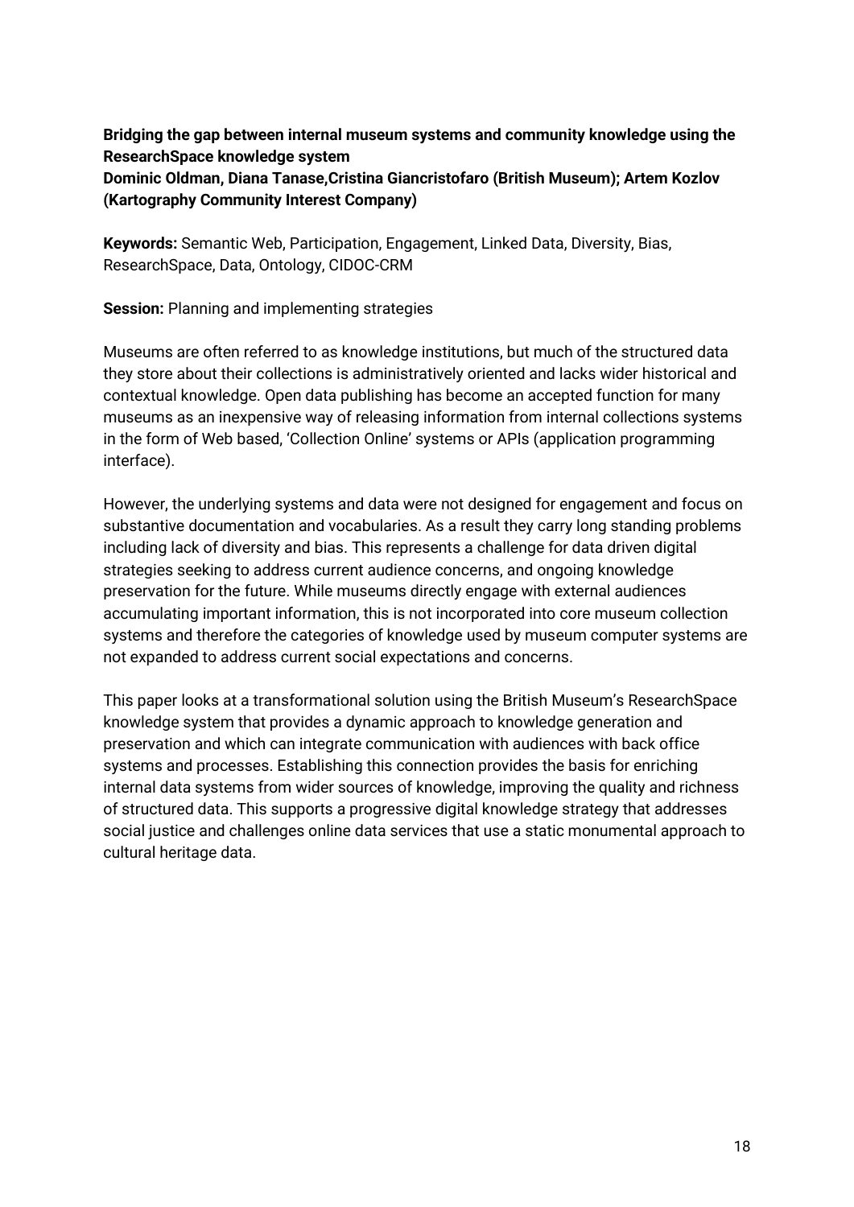## **Bridging the gap between internal museum systems and community knowledge using the ResearchSpace knowledge system Dominic Oldman, Diana Tanase,Cristina Giancristofaro (British Museum); Artem Kozlov (Kartography Community Interest Company)**

**Keywords:** Semantic Web, Participation, Engagement, Linked Data, Diversity, Bias, ResearchSpace, Data, Ontology, CIDOC-CRM

**Session:** Planning and implementing strategies

Museums are often referred to as knowledge institutions, but much of the structured data they store about their collections is administratively oriented and lacks wider historical and contextual knowledge. Open data publishing has become an accepted function for many museums as an inexpensive way of releasing information from internal collections systems in the form of Web based, 'Collection Online' systems or APIs (application programming interface).

However, the underlying systems and data were not designed for engagement and focus on substantive documentation and vocabularies. As a result they carry long standing problems including lack of diversity and bias. This represents a challenge for data driven digital strategies seeking to address current audience concerns, and ongoing knowledge preservation for the future. While museums directly engage with external audiences accumulating important information, this is not incorporated into core museum collection systems and therefore the categories of knowledge used by museum computer systems are not expanded to address current social expectations and concerns.

This paper looks at a transformational solution using the British Museum's ResearchSpace knowledge system that provides a dynamic approach to knowledge generation and preservation and which can integrate communication with audiences with back office systems and processes. Establishing this connection provides the basis for enriching internal data systems from wider sources of knowledge, improving the quality and richness of structured data. This supports a progressive digital knowledge strategy that addresses social justice and challenges online data services that use a static monumental approach to cultural heritage data.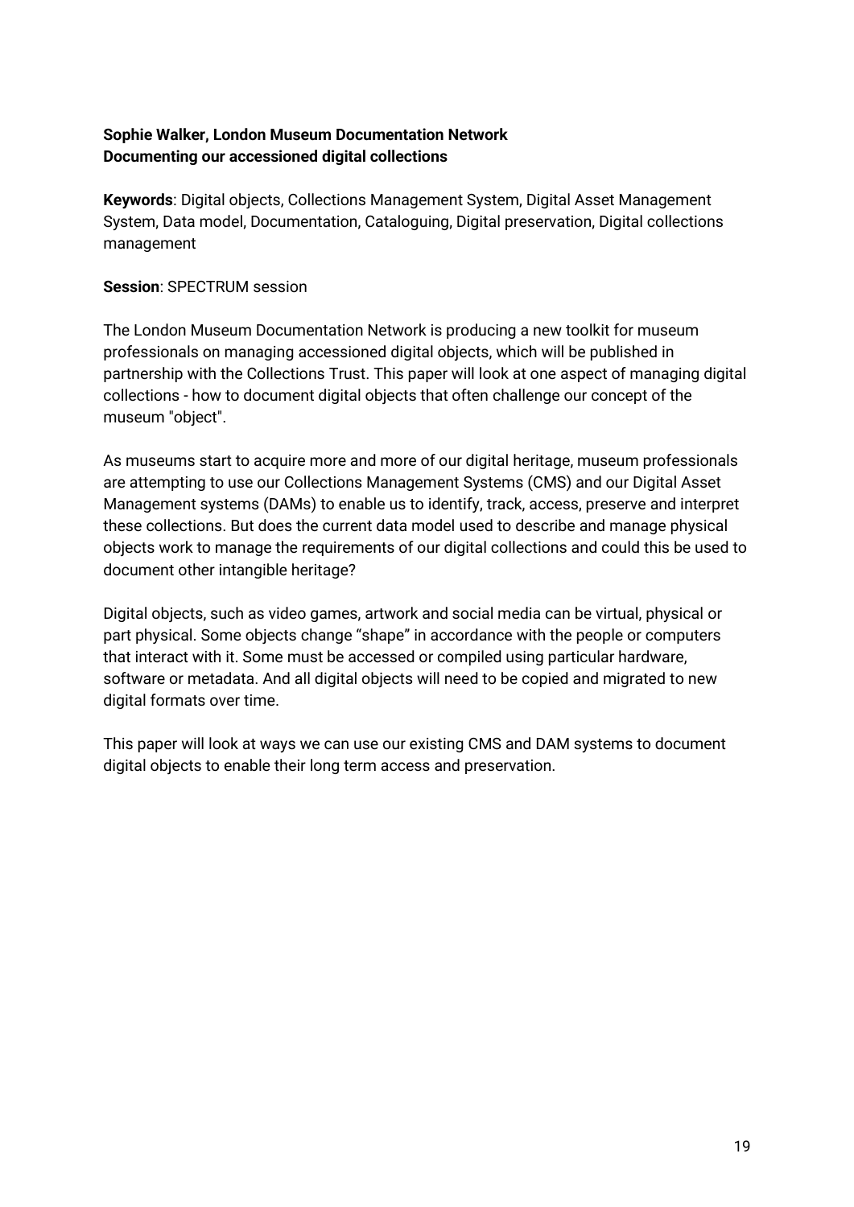### **Sophie Walker, London Museum Documentation Network Documenting our accessioned digital collections**

**Keywords**: Digital objects, Collections Management System, Digital Asset Management System, Data model, Documentation, Cataloguing, Digital preservation, Digital collections management

### **Session**: SPECTRUM session

The London Museum Documentation Network is producing a new toolkit for museum professionals on managing accessioned digital objects, which will be published in partnership with the Collections Trust. This paper will look at one aspect of managing digital collections - how to document digital objects that often challenge our concept of the museum "object".

As museums start to acquire more and more of our digital heritage, museum professionals are attempting to use our Collections Management Systems (CMS) and our Digital Asset Management systems (DAMs) to enable us to identify, track, access, preserve and interpret these collections. But does the current data model used to describe and manage physical objects work to manage the requirements of our digital collections and could this be used to document other intangible heritage?

Digital objects, such as video games, artwork and social media can be virtual, physical or part physical. Some objects change "shape" in accordance with the people or computers that interact with it. Some must be accessed or compiled using particular hardware, software or metadata. And all digital objects will need to be copied and migrated to new digital formats over time.

This paper will look at ways we can use our existing CMS and DAM systems to document digital objects to enable their long term access and preservation.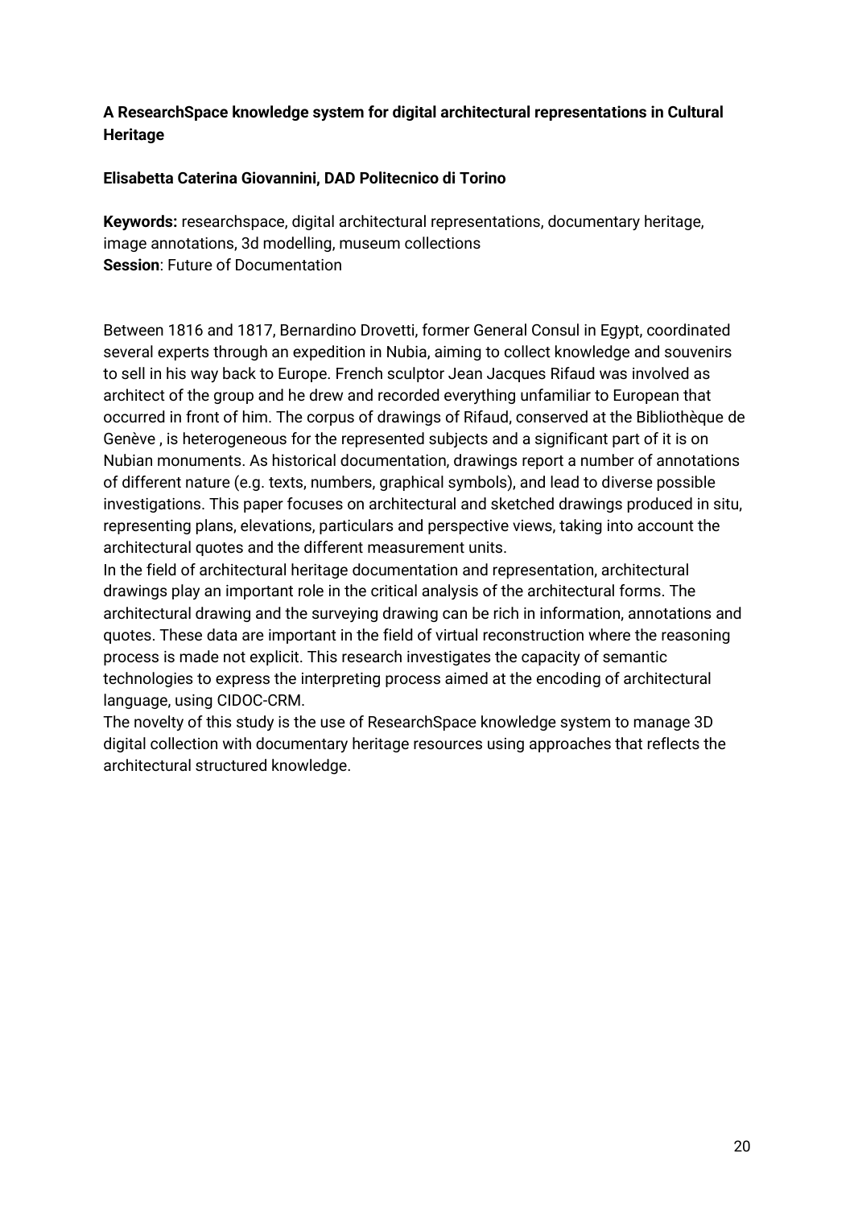### **A ResearchSpace knowledge system for digital architectural representations in Cultural Heritage**

### **Elisabetta Caterina Giovannini, DAD Politecnico di Torino**

**Keywords:** researchspace, digital architectural representations, documentary heritage, image annotations, 3d modelling, museum collections **Session**: Future of Documentation

Between 1816 and 1817, Bernardino Drovetti, former General Consul in Egypt, coordinated several experts through an expedition in Nubia, aiming to collect knowledge and souvenirs to sell in his way back to Europe. French sculptor Jean Jacques Rifaud was involved as architect of the group and he drew and recorded everything unfamiliar to European that occurred in front of him. The corpus of drawings of Rifaud, conserved at the Bibliothèque de Genève , is heterogeneous for the represented subjects and a significant part of it is on Nubian monuments. As historical documentation, drawings report a number of annotations of different nature (e.g. texts, numbers, graphical symbols), and lead to diverse possible investigations. This paper focuses on architectural and sketched drawings produced in situ, representing plans, elevations, particulars and perspective views, taking into account the architectural quotes and the different measurement units.

In the field of architectural heritage documentation and representation, architectural drawings play an important role in the critical analysis of the architectural forms. The architectural drawing and the surveying drawing can be rich in information, annotations and quotes. These data are important in the field of virtual reconstruction where the reasoning process is made not explicit. This research investigates the capacity of semantic technologies to express the interpreting process aimed at the encoding of architectural language, using CIDOC-CRM.

The novelty of this study is the use of ResearchSpace knowledge system to manage 3D digital collection with documentary heritage resources using approaches that reflects the architectural structured knowledge.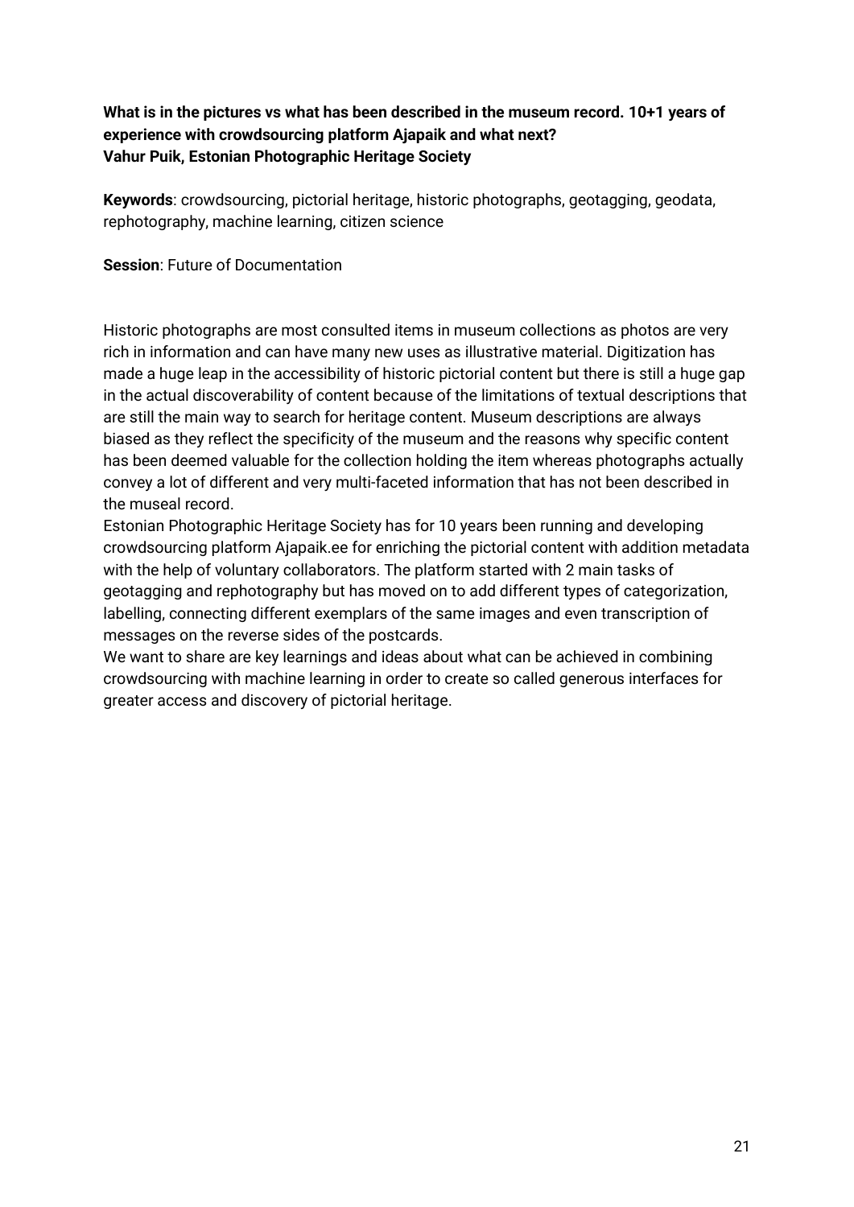**What is in the pictures vs what has been described in the museum record. 10+1 years of experience with crowdsourcing platform Ajapaik and what next? Vahur Puik, Estonian Photographic Heritage Society**

**Keywords**: crowdsourcing, pictorial heritage, historic photographs, geotagging, geodata, rephotography, machine learning, citizen science

**Session**: Future of Documentation

Historic photographs are most consulted items in museum collections as photos are very rich in information and can have many new uses as illustrative material. Digitization has made a huge leap in the accessibility of historic pictorial content but there is still a huge gap in the actual discoverability of content because of the limitations of textual descriptions that are still the main way to search for heritage content. Museum descriptions are always biased as they reflect the specificity of the museum and the reasons why specific content has been deemed valuable for the collection holding the item whereas photographs actually convey a lot of different and very multi-faceted information that has not been described in the museal record.

Estonian Photographic Heritage Society has for 10 years been running and developing crowdsourcing platform Ajapaik.ee for enriching the pictorial content with addition metadata with the help of voluntary collaborators. The platform started with 2 main tasks of geotagging and rephotography but has moved on to add different types of categorization, labelling, connecting different exemplars of the same images and even transcription of messages on the reverse sides of the postcards.

We want to share are key learnings and ideas about what can be achieved in combining crowdsourcing with machine learning in order to create so called generous interfaces for greater access and discovery of pictorial heritage.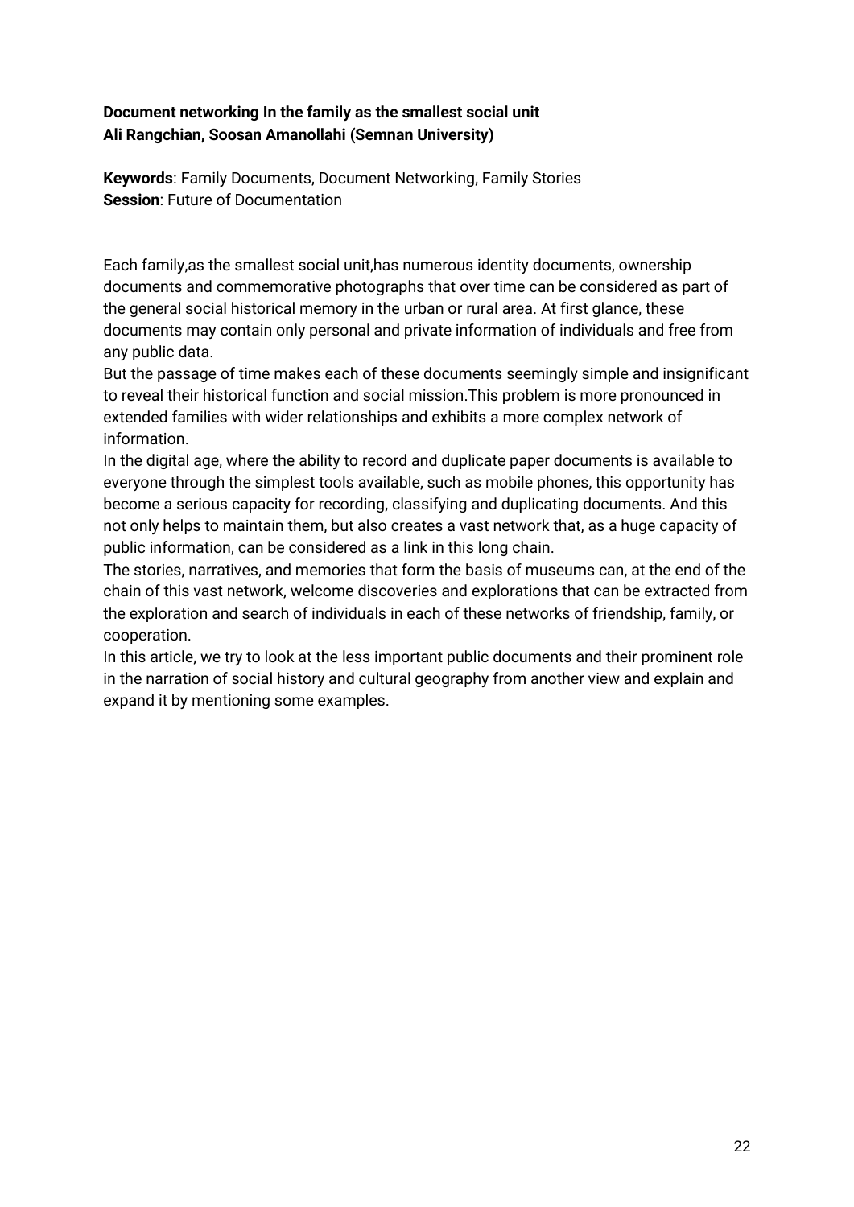### **Document networking In the family as the smallest social unit Ali Rangchian, Soosan Amanollahi (Semnan University)**

**Keywords**: Family Documents, Document Networking, Family Stories **Session**: Future of Documentation

Each family,as the smallest social unit,has numerous identity documents, ownership documents and commemorative photographs that over time can be considered as part of the general social historical memory in the urban or rural area. At first glance, these documents may contain only personal and private information of individuals and free from any public data.

But the passage of time makes each of these documents seemingly simple and insignificant to reveal their historical function and social mission.This problem is more pronounced in extended families with wider relationships and exhibits a more complex network of information.

In the digital age, where the ability to record and duplicate paper documents is available to everyone through the simplest tools available, such as mobile phones, this opportunity has become a serious capacity for recording, classifying and duplicating documents. And this not only helps to maintain them, but also creates a vast network that, as a huge capacity of public information, can be considered as a link in this long chain.

The stories, narratives, and memories that form the basis of museums can, at the end of the chain of this vast network, welcome discoveries and explorations that can be extracted from the exploration and search of individuals in each of these networks of friendship, family, or cooperation.

In this article, we try to look at the less important public documents and their prominent role in the narration of social history and cultural geography from another view and explain and expand it by mentioning some examples.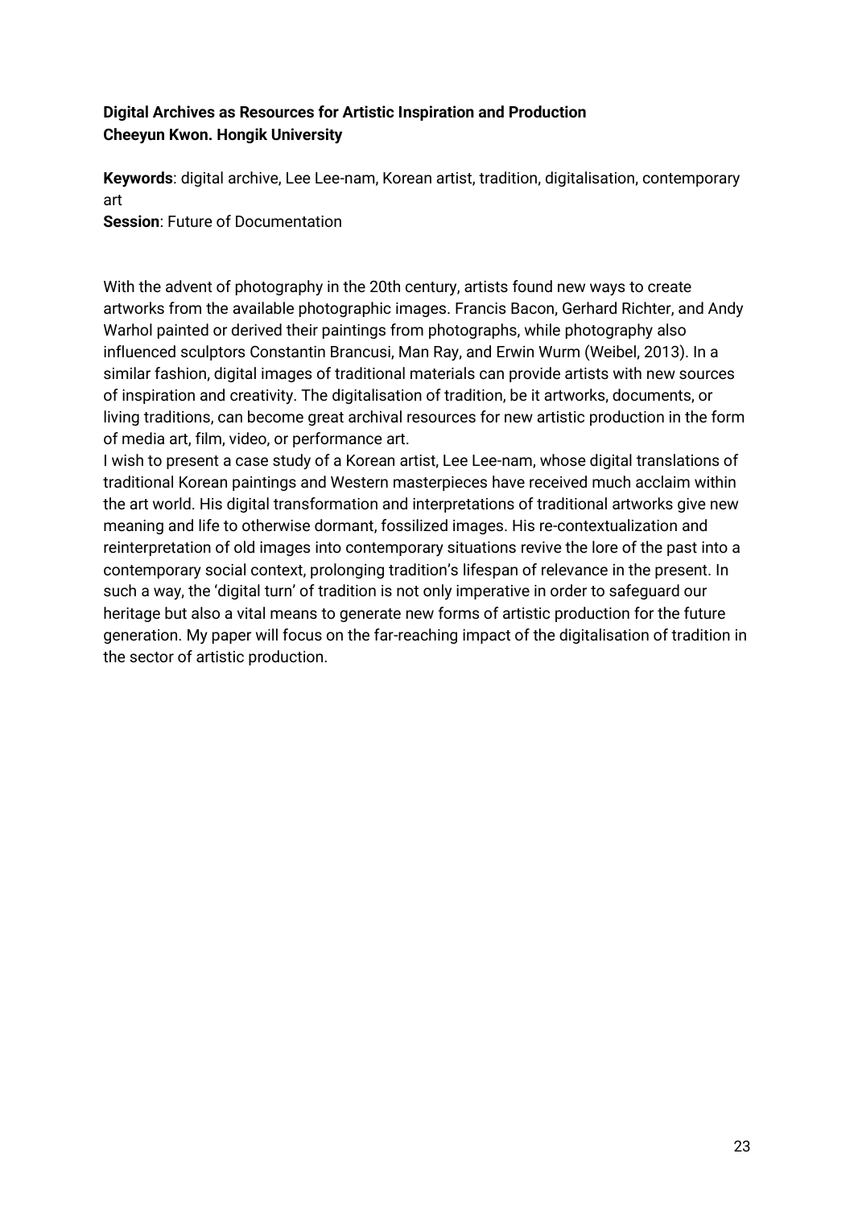### **Digital Archives as Resources for Artistic Inspiration and Production Cheeyun Kwon. Hongik University**

**Keywords**: digital archive, Lee Lee-nam, Korean artist, tradition, digitalisation, contemporary art

**Session**: Future of Documentation

With the advent of photography in the 20th century, artists found new ways to create artworks from the available photographic images. Francis Bacon, Gerhard Richter, and Andy Warhol painted or derived their paintings from photographs, while photography also influenced sculptors Constantin Brancusi, Man Ray, and Erwin Wurm (Weibel, 2013). In a similar fashion, digital images of traditional materials can provide artists with new sources of inspiration and creativity. The digitalisation of tradition, be it artworks, documents, or living traditions, can become great archival resources for new artistic production in the form of media art, film, video, or performance art.

I wish to present a case study of a Korean artist, Lee Lee-nam, whose digital translations of traditional Korean paintings and Western masterpieces have received much acclaim within the art world. His digital transformation and interpretations of traditional artworks give new meaning and life to otherwise dormant, fossilized images. His re-contextualization and reinterpretation of old images into contemporary situations revive the lore of the past into a contemporary social context, prolonging tradition's lifespan of relevance in the present. In such a way, the 'digital turn' of tradition is not only imperative in order to safeguard our heritage but also a vital means to generate new forms of artistic production for the future generation. My paper will focus on the far-reaching impact of the digitalisation of tradition in the sector of artistic production.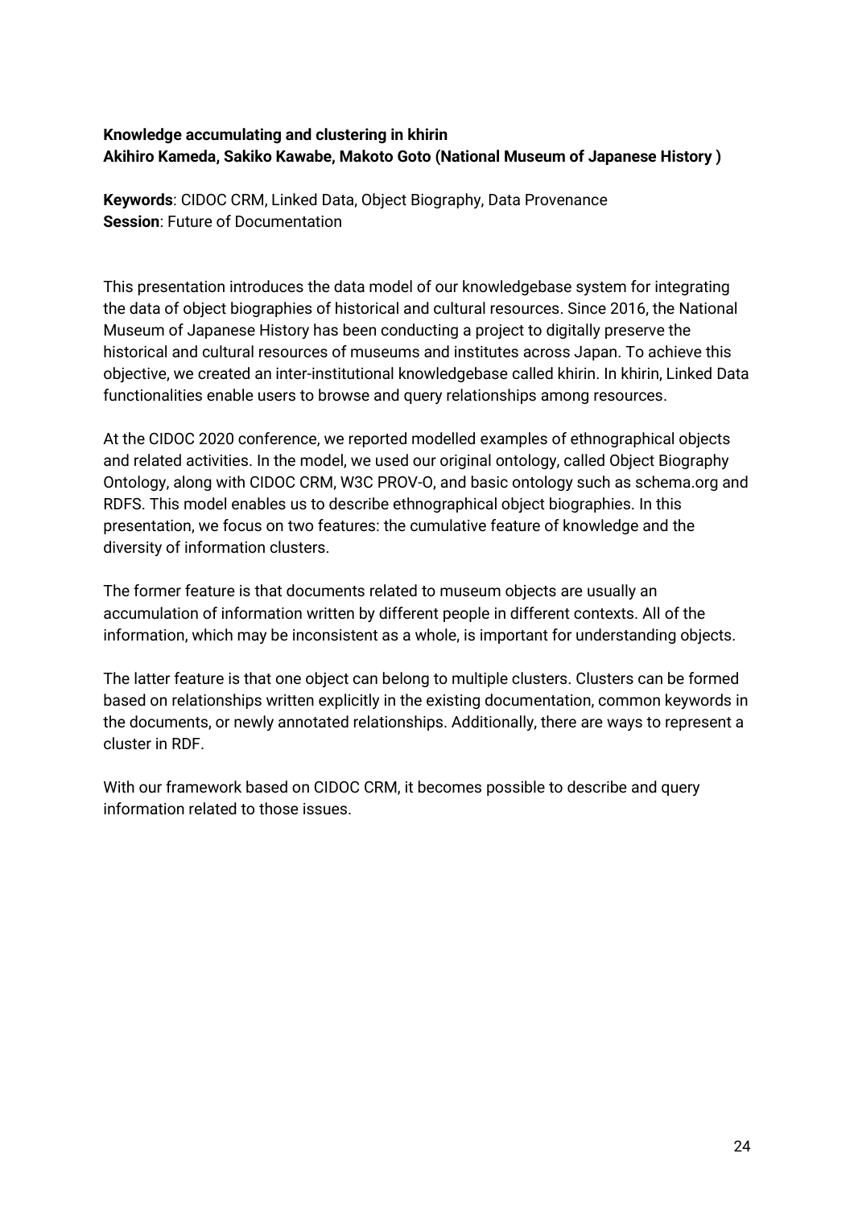### **Knowledge accumulating and clustering in khirin Akihiro Kameda, Sakiko Kawabe, Makoto Goto (National Museum of Japanese History )**

**Keywords**: CIDOC CRM, Linked Data, Object Biography, Data Provenance **Session**: Future of Documentation

This presentation introduces the data model of our knowledgebase system for integrating the data of object biographies of historical and cultural resources. Since 2016, the National Museum of Japanese History has been conducting a project to digitally preserve the historical and cultural resources of museums and institutes across Japan. To achieve this objective, we created an inter-institutional knowledgebase called khirin. In khirin, Linked Data functionalities enable users to browse and query relationships among resources.

At the CIDOC 2020 conference, we reported modelled examples of ethnographical objects and related activities. In the model, we used our original ontology, called Object Biography Ontology, along with CIDOC CRM, W3C PROV-O, and basic ontology such as schema.org and RDFS. This model enables us to describe ethnographical object biographies. In this presentation, we focus on two features: the cumulative feature of knowledge and the diversity of information clusters.

The former feature is that documents related to museum objects are usually an accumulation of information written by different people in different contexts. All of the information, which may be inconsistent as a whole, is important for understanding objects.

The latter feature is that one object can belong to multiple clusters. Clusters can be formed based on relationships written explicitly in the existing documentation, common keywords in the documents, or newly annotated relationships. Additionally, there are ways to represent a cluster in RDF.

With our framework based on CIDOC CRM, it becomes possible to describe and query information related to those issues.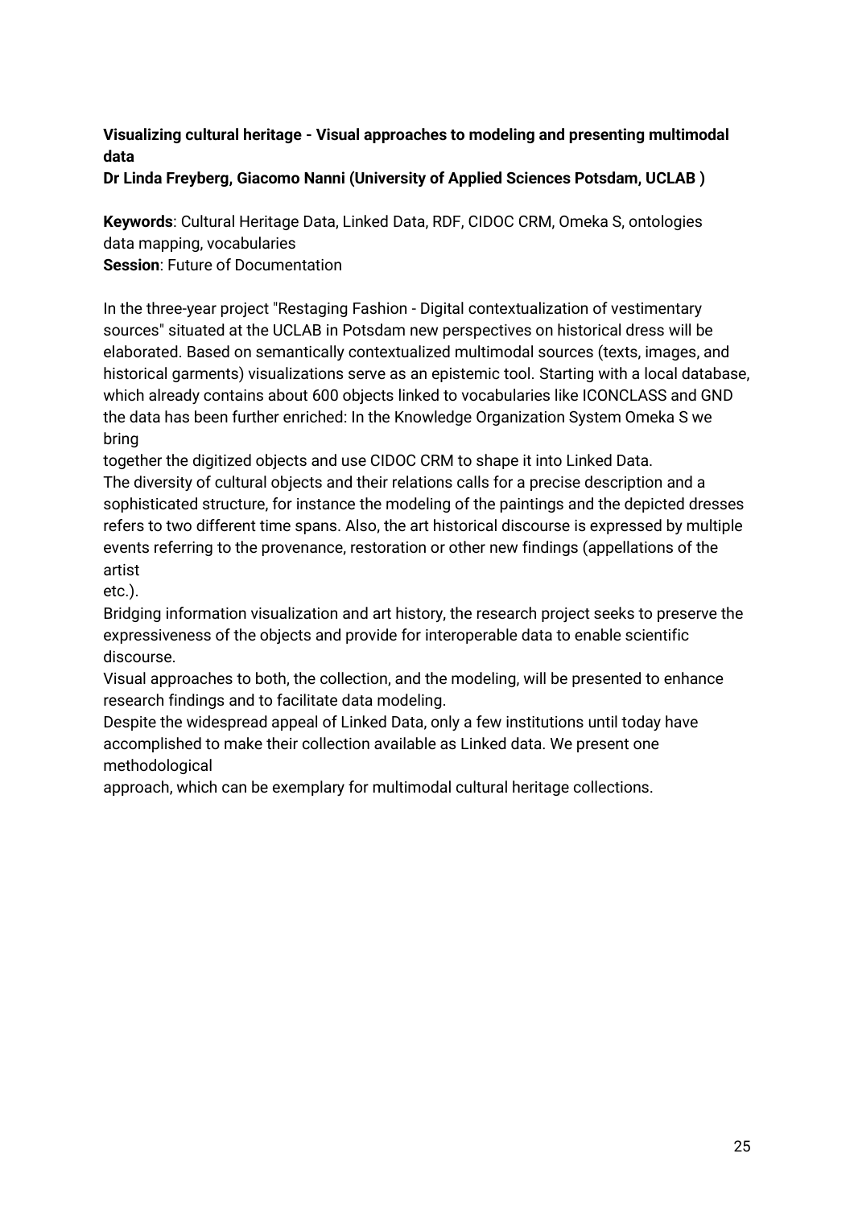### **Visualizing cultural heritage - Visual approaches to modeling and presenting multimodal data**

**Dr Linda Freyberg, Giacomo Nanni (University of Applied Sciences Potsdam, UCLAB )** 

**Keywords**: Cultural Heritage Data, Linked Data, RDF, CIDOC CRM, Omeka S, ontologies data mapping, vocabularies

**Session**: Future of Documentation

In the three-year project "Restaging Fashion - Digital contextualization of vestimentary sources" situated at the UCLAB in Potsdam new perspectives on historical dress will be elaborated. Based on semantically contextualized multimodal sources (texts, images, and historical garments) visualizations serve as an epistemic tool. Starting with a local database, which already contains about 600 objects linked to vocabularies like ICONCLASS and GND the data has been further enriched: In the Knowledge Organization System Omeka S we bring

together the digitized objects and use CIDOC CRM to shape it into Linked Data.

The diversity of cultural objects and their relations calls for a precise description and a sophisticated structure, for instance the modeling of the paintings and the depicted dresses refers to two different time spans. Also, the art historical discourse is expressed by multiple events referring to the provenance, restoration or other new findings (appellations of the artist

etc.).

Bridging information visualization and art history, the research project seeks to preserve the expressiveness of the objects and provide for interoperable data to enable scientific discourse.

Visual approaches to both, the collection, and the modeling, will be presented to enhance research findings and to facilitate data modeling.

Despite the widespread appeal of Linked Data, only a few institutions until today have accomplished to make their collection available as Linked data. We present one methodological

approach, which can be exemplary for multimodal cultural heritage collections.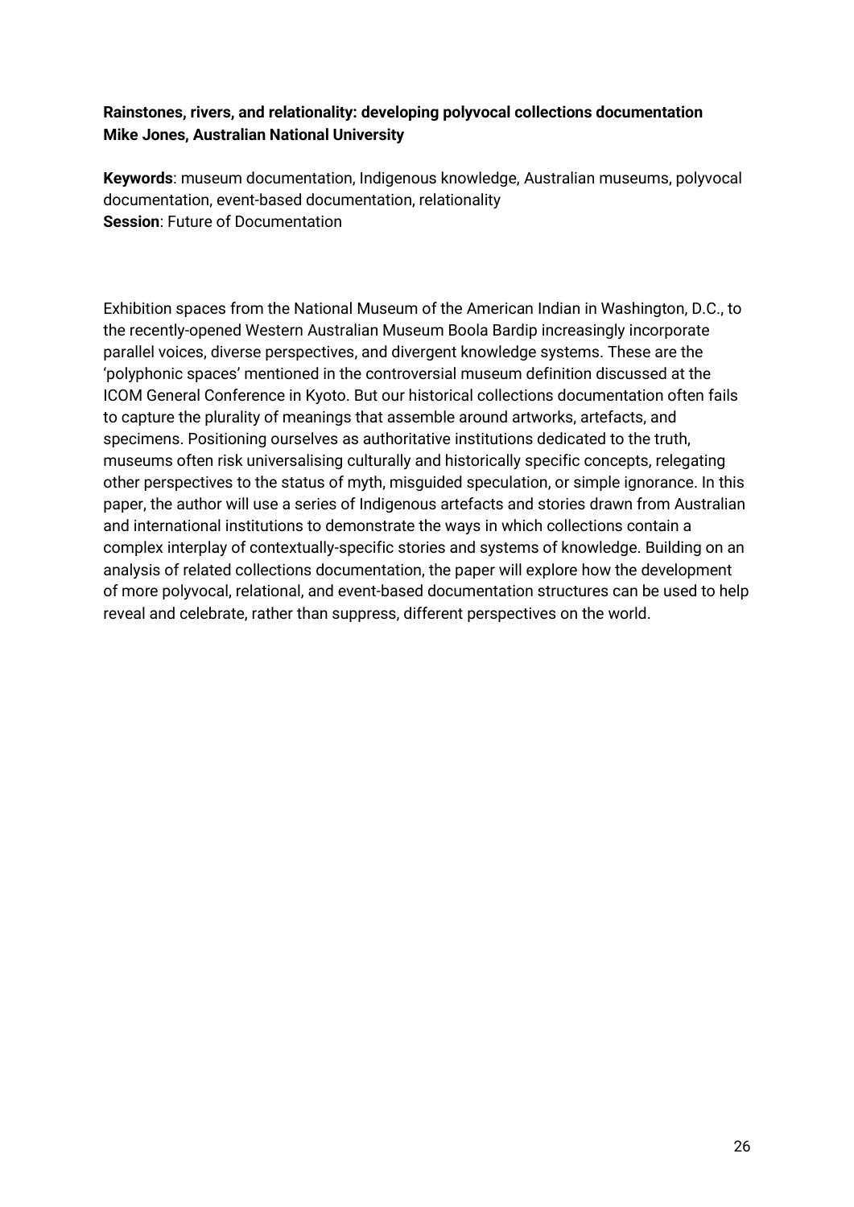### **Rainstones, rivers, and relationality: developing polyvocal collections documentation Mike Jones, Australian National University**

**Keywords**: museum documentation, Indigenous knowledge, Australian museums, polyvocal documentation, event-based documentation, relationality **Session**: Future of Documentation

Exhibition spaces from the National Museum of the American Indian in Washington, D.C., to the recently-opened Western Australian Museum Boola Bardip increasingly incorporate parallel voices, diverse perspectives, and divergent knowledge systems. These are the 'polyphonic spaces' mentioned in the controversial museum definition discussed at the ICOM General Conference in Kyoto. But our historical collections documentation often fails to capture the plurality of meanings that assemble around artworks, artefacts, and specimens. Positioning ourselves as authoritative institutions dedicated to the truth, museums often risk universalising culturally and historically specific concepts, relegating other perspectives to the status of myth, misguided speculation, or simple ignorance. In this paper, the author will use a series of Indigenous artefacts and stories drawn from Australian and international institutions to demonstrate the ways in which collections contain a complex interplay of contextually-specific stories and systems of knowledge. Building on an analysis of related collections documentation, the paper will explore how the development of more polyvocal, relational, and event-based documentation structures can be used to help reveal and celebrate, rather than suppress, different perspectives on the world.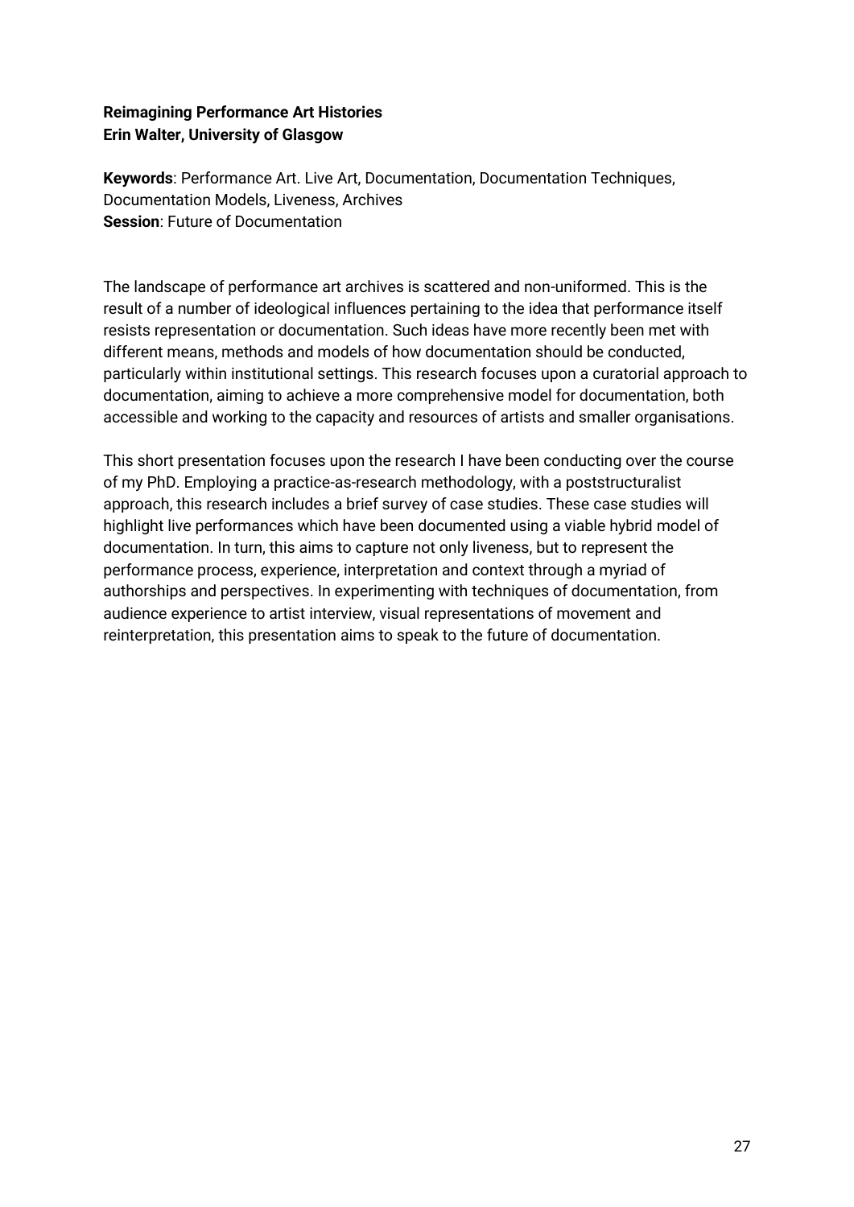### **Reimagining Performance Art Histories Erin Walter, University of Glasgow**

**Keywords**: Performance Art. Live Art, Documentation, Documentation Techniques, Documentation Models, Liveness, Archives **Session**: Future of Documentation

The landscape of performance art archives is scattered and non-uniformed. This is the result of a number of ideological influences pertaining to the idea that performance itself resists representation or documentation. Such ideas have more recently been met with different means, methods and models of how documentation should be conducted, particularly within institutional settings. This research focuses upon a curatorial approach to documentation, aiming to achieve a more comprehensive model for documentation, both accessible and working to the capacity and resources of artists and smaller organisations.

This short presentation focuses upon the research I have been conducting over the course of my PhD. Employing a practice-as-research methodology, with a poststructuralist approach, this research includes a brief survey of case studies. These case studies will highlight live performances which have been documented using a viable hybrid model of documentation. In turn, this aims to capture not only liveness, but to represent the performance process, experience, interpretation and context through a myriad of authorships and perspectives. In experimenting with techniques of documentation, from audience experience to artist interview, visual representations of movement and reinterpretation, this presentation aims to speak to the future of documentation.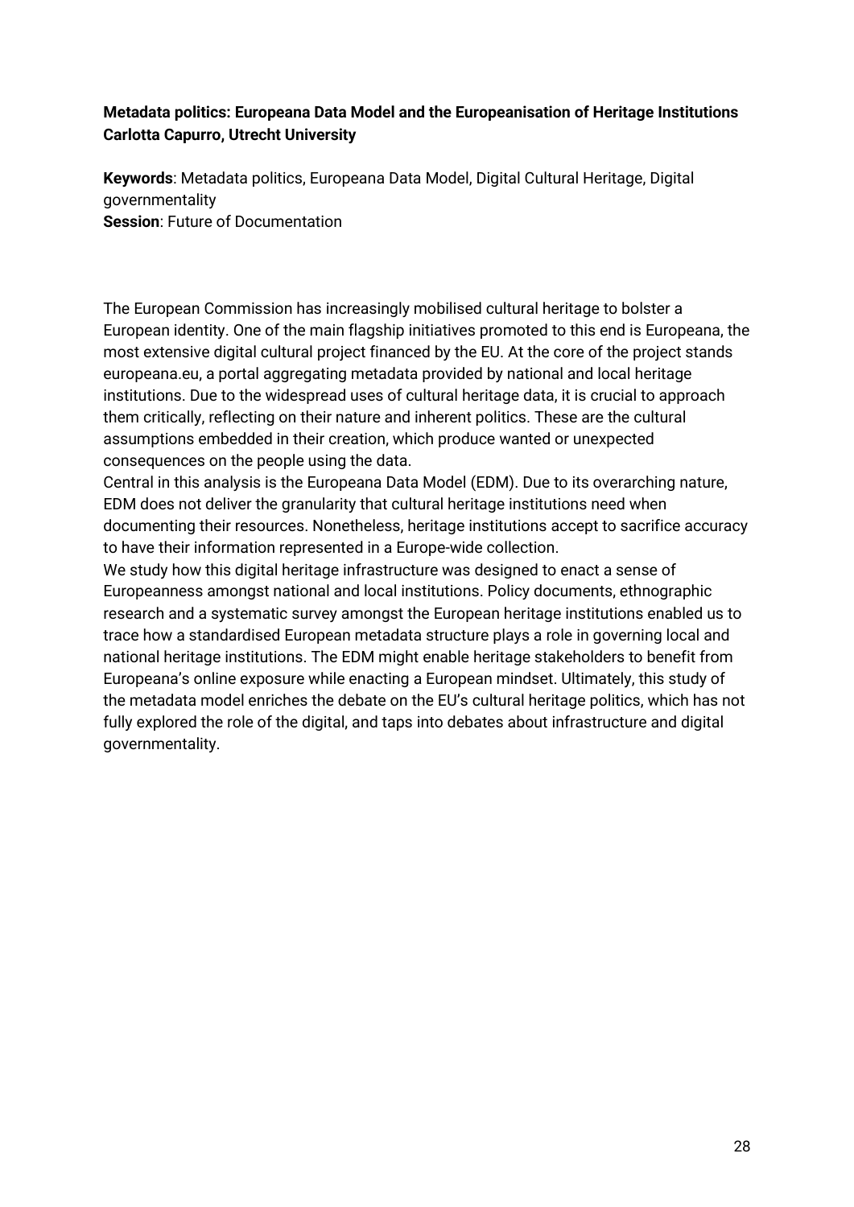### **Metadata politics: Europeana Data Model and the Europeanisation of Heritage Institutions Carlotta Capurro, Utrecht University**

**Keywords**: Metadata politics, Europeana Data Model, Digital Cultural Heritage, Digital governmentality **Session**: Future of Documentation

The European Commission has increasingly mobilised cultural heritage to bolster a European identity. One of the main flagship initiatives promoted to this end is Europeana, the most extensive digital cultural project financed by the EU. At the core of the project stands europeana.eu, a portal aggregating metadata provided by national and local heritage institutions. Due to the widespread uses of cultural heritage data, it is crucial to approach them critically, reflecting on their nature and inherent politics. These are the cultural assumptions embedded in their creation, which produce wanted or unexpected consequences on the people using the data.

Central in this analysis is the Europeana Data Model (EDM). Due to its overarching nature, EDM does not deliver the granularity that cultural heritage institutions need when documenting their resources. Nonetheless, heritage institutions accept to sacrifice accuracy to have their information represented in a Europe-wide collection.

We study how this digital heritage infrastructure was designed to enact a sense of Europeanness amongst national and local institutions. Policy documents, ethnographic research and a systematic survey amongst the European heritage institutions enabled us to trace how a standardised European metadata structure plays a role in governing local and national heritage institutions. The EDM might enable heritage stakeholders to benefit from Europeana's online exposure while enacting a European mindset. Ultimately, this study of the metadata model enriches the debate on the EU's cultural heritage politics, which has not fully explored the role of the digital, and taps into debates about infrastructure and digital governmentality.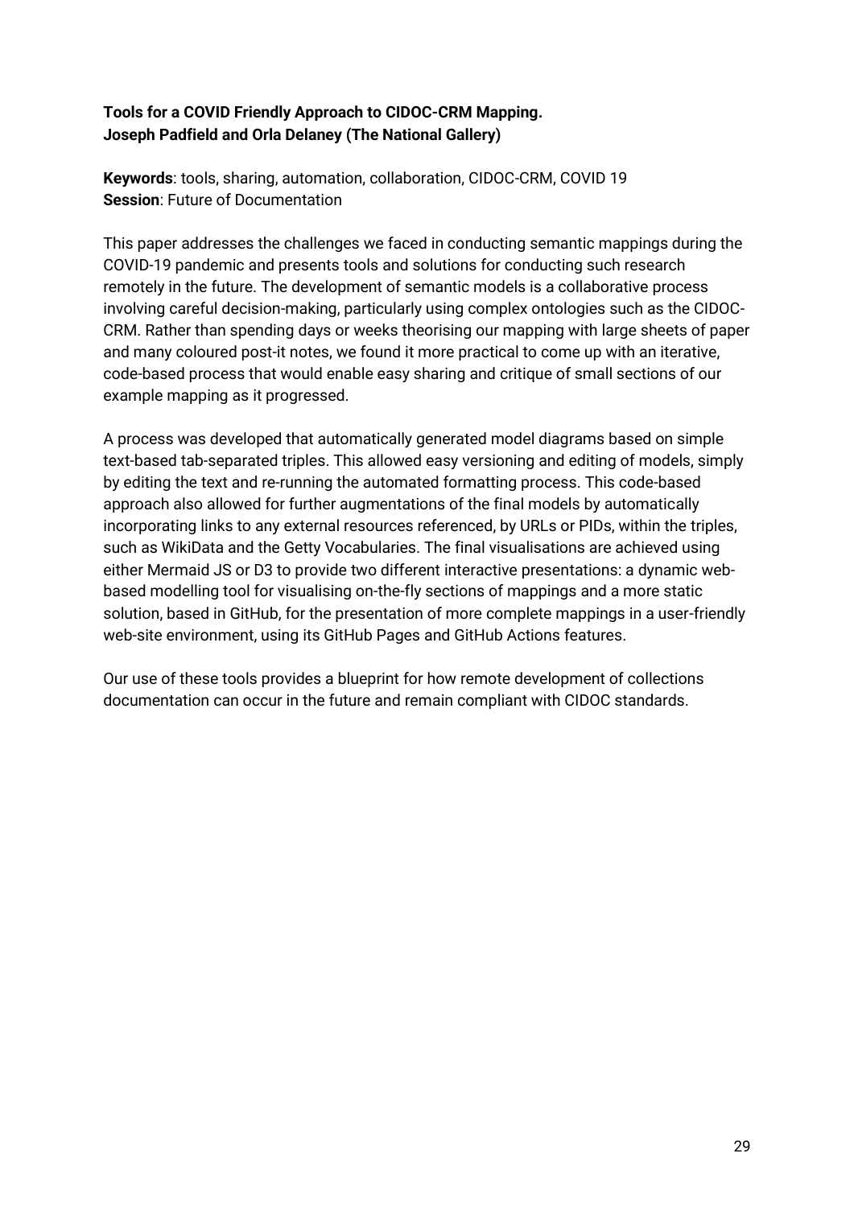### **Tools for a COVID Friendly Approach to CIDOC-CRM Mapping. Joseph Padfield and Orla Delaney (The National Gallery)**

**Keywords**: tools, sharing, automation, collaboration, CIDOC-CRM, COVID 19 **Session**: Future of Documentation

This paper addresses the challenges we faced in conducting semantic mappings during the COVID-19 pandemic and presents tools and solutions for conducting such research remotely in the future. The development of semantic models is a collaborative process involving careful decision-making, particularly using complex ontologies such as the CIDOC-CRM. Rather than spending days or weeks theorising our mapping with large sheets of paper and many coloured post-it notes, we found it more practical to come up with an iterative, code-based process that would enable easy sharing and critique of small sections of our example mapping as it progressed.

A process was developed that automatically generated model diagrams based on simple text-based tab-separated triples. This allowed easy versioning and editing of models, simply by editing the text and re-running the automated formatting process. This code-based approach also allowed for further augmentations of the final models by automatically incorporating links to any external resources referenced, by URLs or PIDs, within the triples, such as WikiData and the Getty Vocabularies. The final visualisations are achieved using either Mermaid JS or D3 to provide two different interactive presentations: a dynamic webbased modelling tool for visualising on-the-fly sections of mappings and a more static solution, based in GitHub, for the presentation of more complete mappings in a user-friendly web-site environment, using its GitHub Pages and GitHub Actions features.

Our use of these tools provides a blueprint for how remote development of collections documentation can occur in the future and remain compliant with CIDOC standards.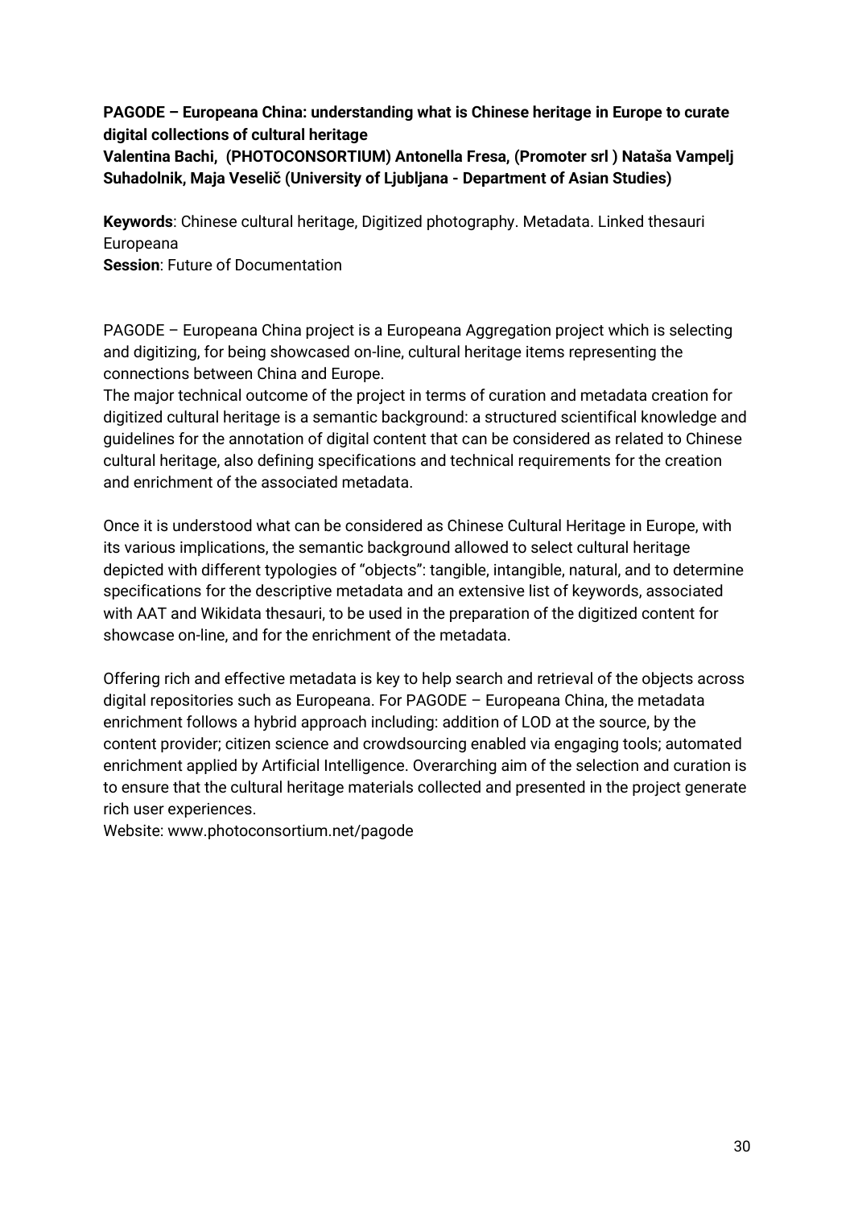**PAGODE – Europeana China: understanding what is Chinese heritage in Europe to curate digital collections of cultural heritage**

**Valentina Bachi, (PHOTOCONSORTIUM) Antonella Fresa, (Promoter srl ) Nataša Vampelj Suhadolnik, Maja Veselič (University of Ljubljana - Department of Asian Studies)** 

**Keywords**: Chinese cultural heritage, Digitized photography. Metadata. Linked thesauri Europeana

**Session**: Future of Documentation

PAGODE – Europeana China project is a Europeana Aggregation project which is selecting and digitizing, for being showcased on-line, cultural heritage items representing the connections between China and Europe.

The major technical outcome of the project in terms of curation and metadata creation for digitized cultural heritage is a semantic background: a structured scientifical knowledge and guidelines for the annotation of digital content that can be considered as related to Chinese cultural heritage, also defining specifications and technical requirements for the creation and enrichment of the associated metadata.

Once it is understood what can be considered as Chinese Cultural Heritage in Europe, with its various implications, the semantic background allowed to select cultural heritage depicted with different typologies of "objects": tangible, intangible, natural, and to determine specifications for the descriptive metadata and an extensive list of keywords, associated with AAT and Wikidata thesauri, to be used in the preparation of the digitized content for showcase on-line, and for the enrichment of the metadata.

Offering rich and effective metadata is key to help search and retrieval of the objects across digital repositories such as Europeana. For PAGODE – Europeana China, the metadata enrichment follows a hybrid approach including: addition of LOD at the source, by the content provider; citizen science and crowdsourcing enabled via engaging tools; automated enrichment applied by Artificial Intelligence. Overarching aim of the selection and curation is to ensure that the cultural heritage materials collected and presented in the project generate rich user experiences.

Website: www.photoconsortium.net/pagode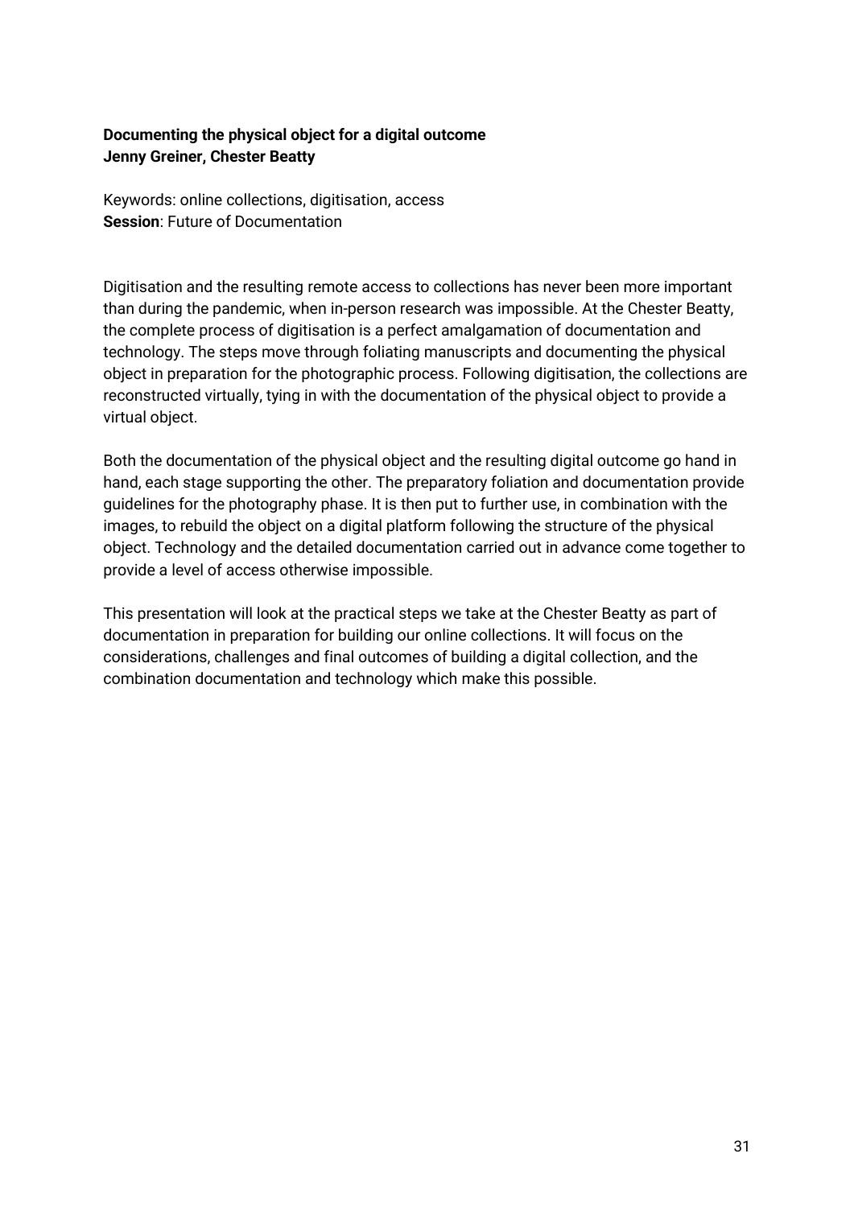### **Documenting the physical object for a digital outcome Jenny Greiner, Chester Beatty**

Keywords: online collections, digitisation, access **Session**: Future of Documentation

Digitisation and the resulting remote access to collections has never been more important than during the pandemic, when in-person research was impossible. At the Chester Beatty, the complete process of digitisation is a perfect amalgamation of documentation and technology. The steps move through foliating manuscripts and documenting the physical object in preparation for the photographic process. Following digitisation, the collections are reconstructed virtually, tying in with the documentation of the physical object to provide a virtual object.

Both the documentation of the physical object and the resulting digital outcome go hand in hand, each stage supporting the other. The preparatory foliation and documentation provide guidelines for the photography phase. It is then put to further use, in combination with the images, to rebuild the object on a digital platform following the structure of the physical object. Technology and the detailed documentation carried out in advance come together to provide a level of access otherwise impossible.

This presentation will look at the practical steps we take at the Chester Beatty as part of documentation in preparation for building our online collections. It will focus on the considerations, challenges and final outcomes of building a digital collection, and the combination documentation and technology which make this possible.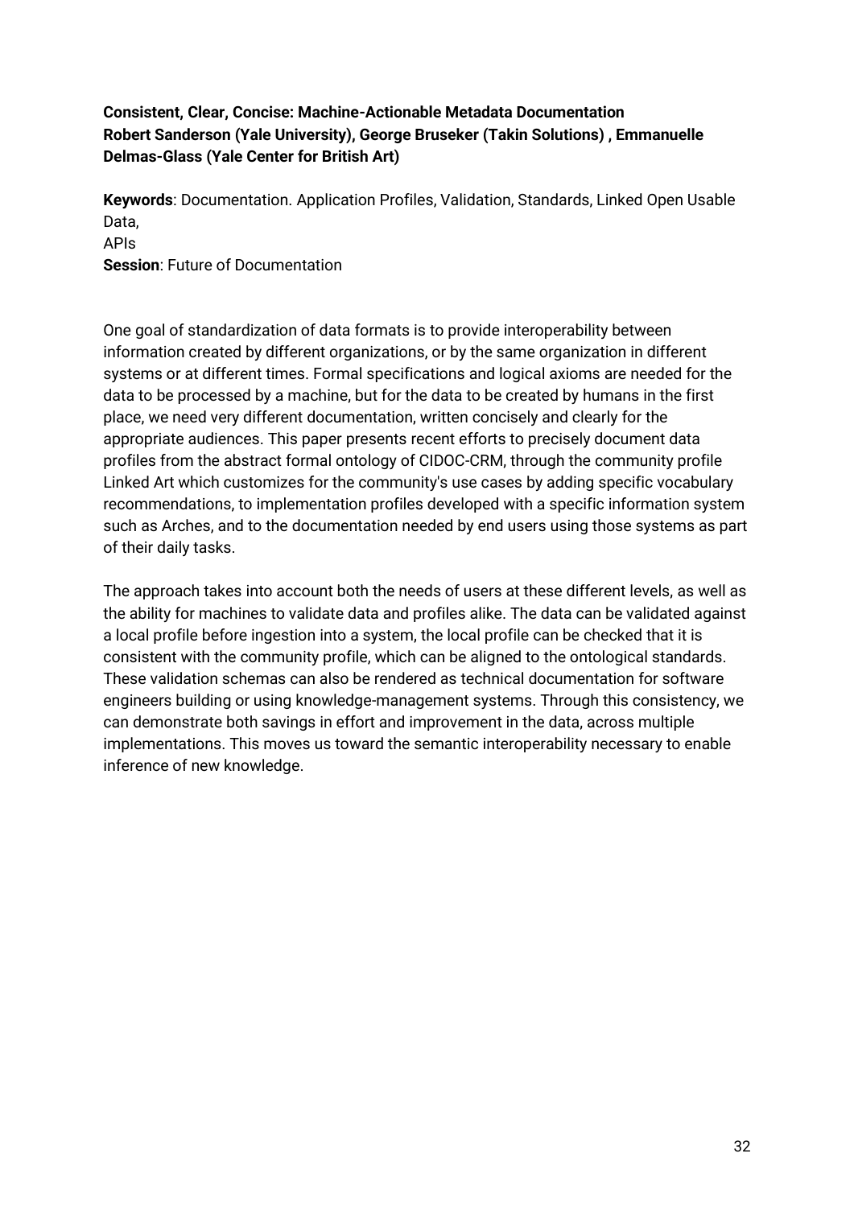### **Consistent, Clear, Concise: Machine-Actionable Metadata Documentation Robert Sanderson (Yale University), George Bruseker (Takin Solutions) , Emmanuelle Delmas-Glass (Yale Center for British Art)**

**Keywords**: Documentation. Application Profiles, Validation, Standards, Linked Open Usable Data, APIs **Session**: Future of Documentation

One goal of standardization of data formats is to provide interoperability between information created by different organizations, or by the same organization in different systems or at different times. Formal specifications and logical axioms are needed for the data to be processed by a machine, but for the data to be created by humans in the first place, we need very different documentation, written concisely and clearly for the appropriate audiences. This paper presents recent efforts to precisely document data profiles from the abstract formal ontology of CIDOC-CRM, through the community profile Linked Art which customizes for the community's use cases by adding specific vocabulary recommendations, to implementation profiles developed with a specific information system such as Arches, and to the documentation needed by end users using those systems as part of their daily tasks.

The approach takes into account both the needs of users at these different levels, as well as the ability for machines to validate data and profiles alike. The data can be validated against a local profile before ingestion into a system, the local profile can be checked that it is consistent with the community profile, which can be aligned to the ontological standards. These validation schemas can also be rendered as technical documentation for software engineers building or using knowledge-management systems. Through this consistency, we can demonstrate both savings in effort and improvement in the data, across multiple implementations. This moves us toward the semantic interoperability necessary to enable inference of new knowledge.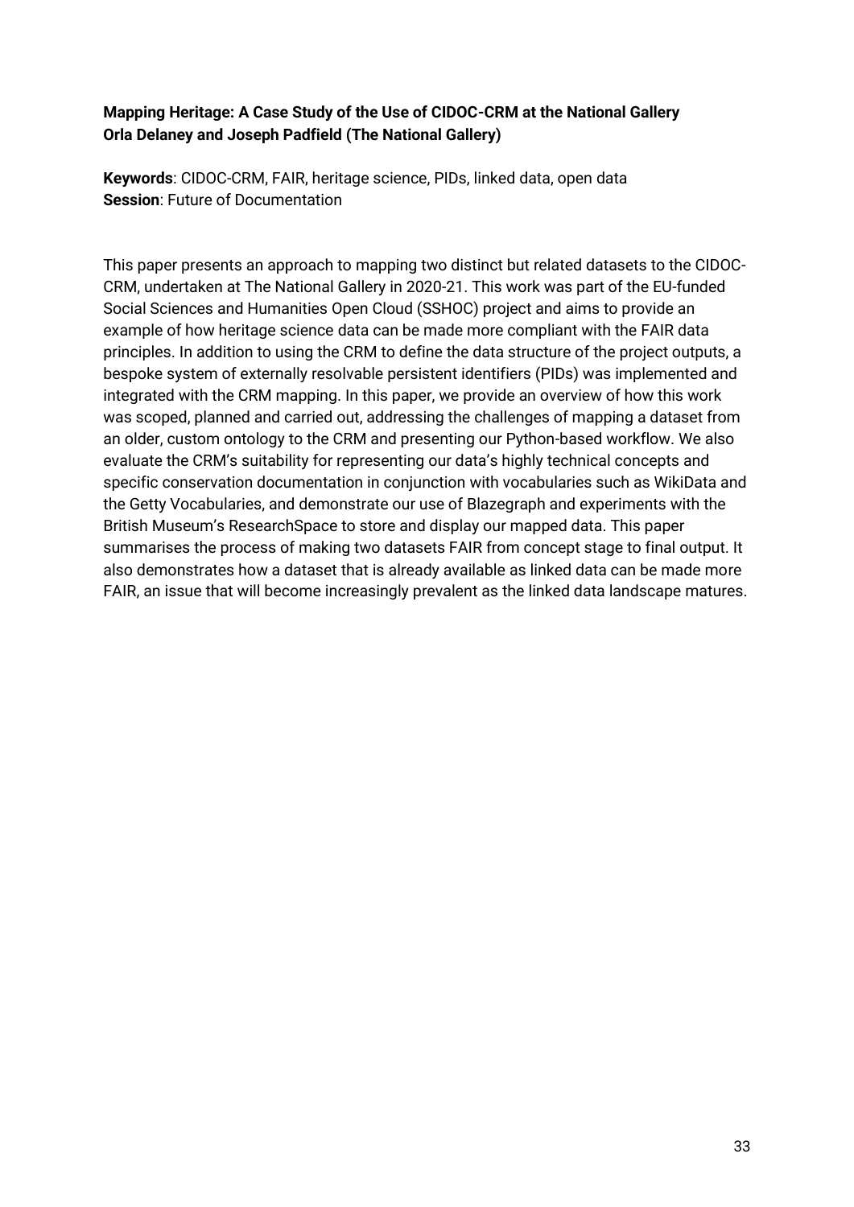### **Mapping Heritage: A Case Study of the Use of CIDOC-CRM at the National Gallery Orla Delaney and Joseph Padfield (The National Gallery)**

**Keywords**: CIDOC-CRM, FAIR, heritage science, PIDs, linked data, open data **Session**: Future of Documentation

This paper presents an approach to mapping two distinct but related datasets to the CIDOC-CRM, undertaken at The National Gallery in 2020-21. This work was part of the EU-funded Social Sciences and Humanities Open Cloud (SSHOC) project and aims to provide an example of how heritage science data can be made more compliant with the FAIR data principles. In addition to using the CRM to define the data structure of the project outputs, a bespoke system of externally resolvable persistent identifiers (PIDs) was implemented and integrated with the CRM mapping. In this paper, we provide an overview of how this work was scoped, planned and carried out, addressing the challenges of mapping a dataset from an older, custom ontology to the CRM and presenting our Python-based workflow. We also evaluate the CRM's suitability for representing our data's highly technical concepts and specific conservation documentation in conjunction with vocabularies such as WikiData and the Getty Vocabularies, and demonstrate our use of Blazegraph and experiments with the British Museum's ResearchSpace to store and display our mapped data. This paper summarises the process of making two datasets FAIR from concept stage to final output. It also demonstrates how a dataset that is already available as linked data can be made more FAIR, an issue that will become increasingly prevalent as the linked data landscape matures.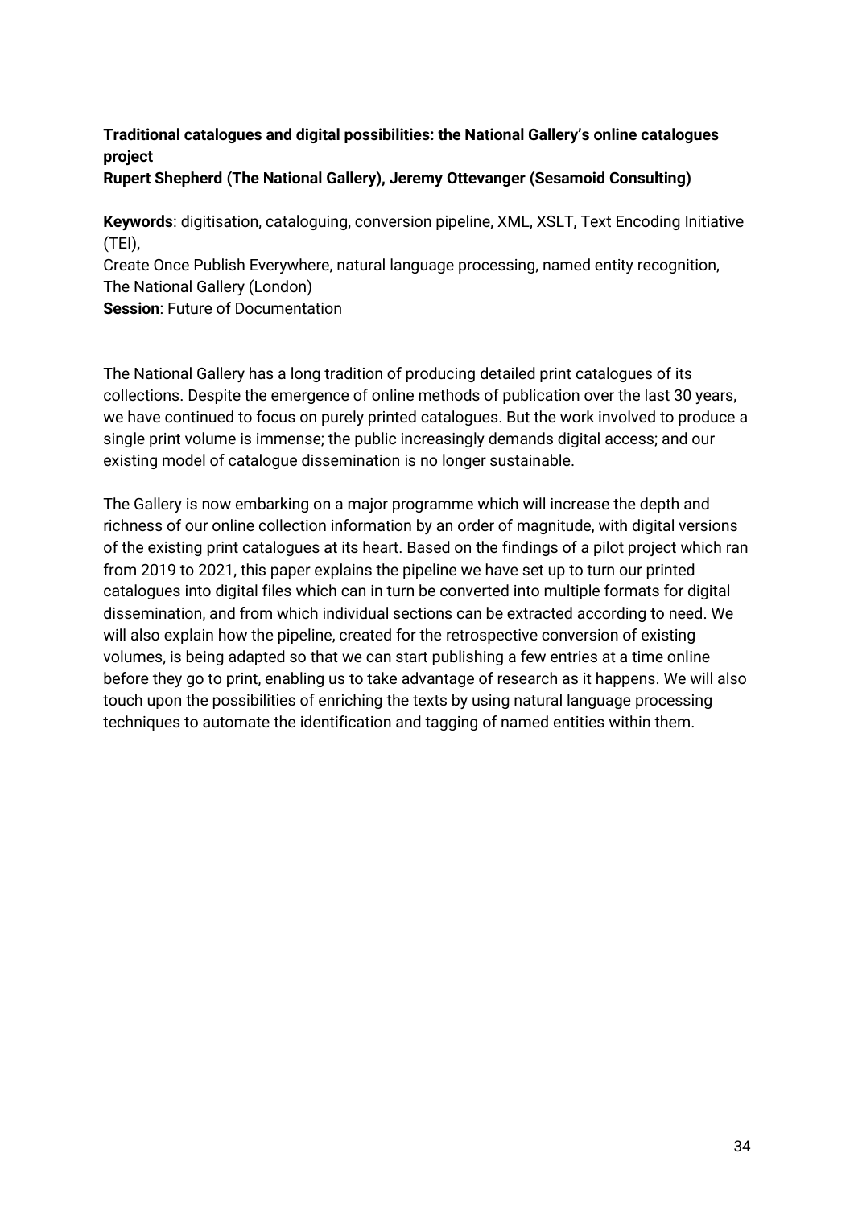### **Traditional catalogues and digital possibilities: the National Gallery's online catalogues project**

### **Rupert Shepherd (The National Gallery), Jeremy Ottevanger (Sesamoid Consulting)**

**Keywords**: digitisation, cataloguing, conversion pipeline, XML, XSLT, Text Encoding Initiative (TEI),

Create Once Publish Everywhere, natural language processing, named entity recognition, The National Gallery (London)

**Session**: Future of Documentation

The National Gallery has a long tradition of producing detailed print catalogues of its collections. Despite the emergence of online methods of publication over the last 30 years, we have continued to focus on purely printed catalogues. But the work involved to produce a single print volume is immense; the public increasingly demands digital access; and our existing model of catalogue dissemination is no longer sustainable.

The Gallery is now embarking on a major programme which will increase the depth and richness of our online collection information by an order of magnitude, with digital versions of the existing print catalogues at its heart. Based on the findings of a pilot project which ran from 2019 to 2021, this paper explains the pipeline we have set up to turn our printed catalogues into digital files which can in turn be converted into multiple formats for digital dissemination, and from which individual sections can be extracted according to need. We will also explain how the pipeline, created for the retrospective conversion of existing volumes, is being adapted so that we can start publishing a few entries at a time online before they go to print, enabling us to take advantage of research as it happens. We will also touch upon the possibilities of enriching the texts by using natural language processing techniques to automate the identification and tagging of named entities within them.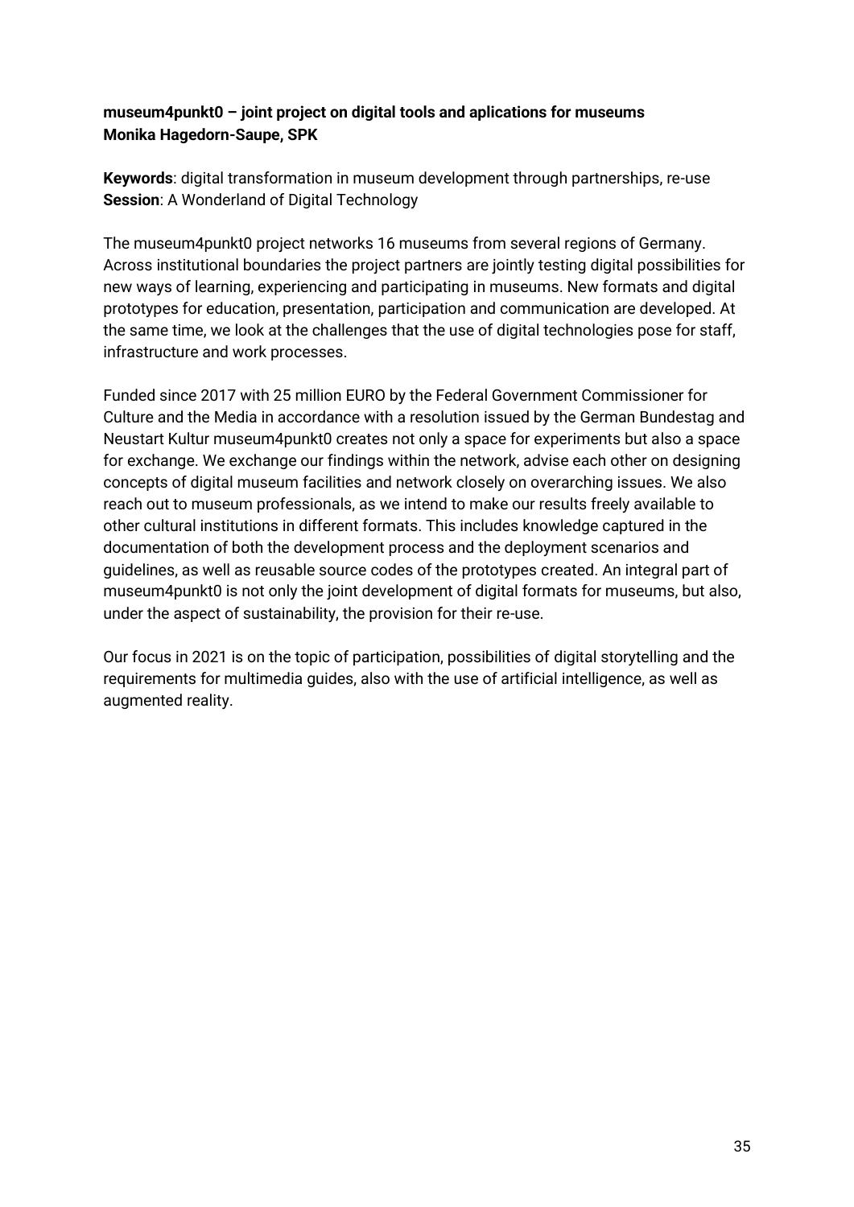### **museum4punkt0 – joint project on digital tools and aplications for museums Monika Hagedorn-Saupe, SPK**

**Keywords**: digital transformation in museum development through partnerships, re-use **Session**: A Wonderland of Digital Technology

The museum4punkt0 project networks 16 museums from several regions of Germany. Across institutional boundaries the project partners are jointly testing digital possibilities for new ways of learning, experiencing and participating in museums. New formats and digital prototypes for education, presentation, participation and communication are developed. At the same time, we look at the challenges that the use of digital technologies pose for staff, infrastructure and work processes.

Funded since 2017 with 25 million EURO by the Federal Government Commissioner for Culture and the Media in accordance with a resolution issued by the German Bundestag and Neustart Kultur museum4punkt0 creates not only a space for experiments but also a space for exchange. We exchange our findings within the network, advise each other on designing concepts of digital museum facilities and network closely on overarching issues. We also reach out to museum professionals, as we intend to make our results freely available to other cultural institutions in different formats. This includes knowledge captured in the documentation of both the development process and the deployment scenarios and guidelines, as well as reusable source codes of the prototypes created. An integral part of museum4punkt0 is not only the joint development of digital formats for museums, but also, under the aspect of sustainability, the provision for their re-use.

Our focus in 2021 is on the topic of participation, possibilities of digital storytelling and the requirements for multimedia guides, also with the use of artificial intelligence, as well as augmented reality.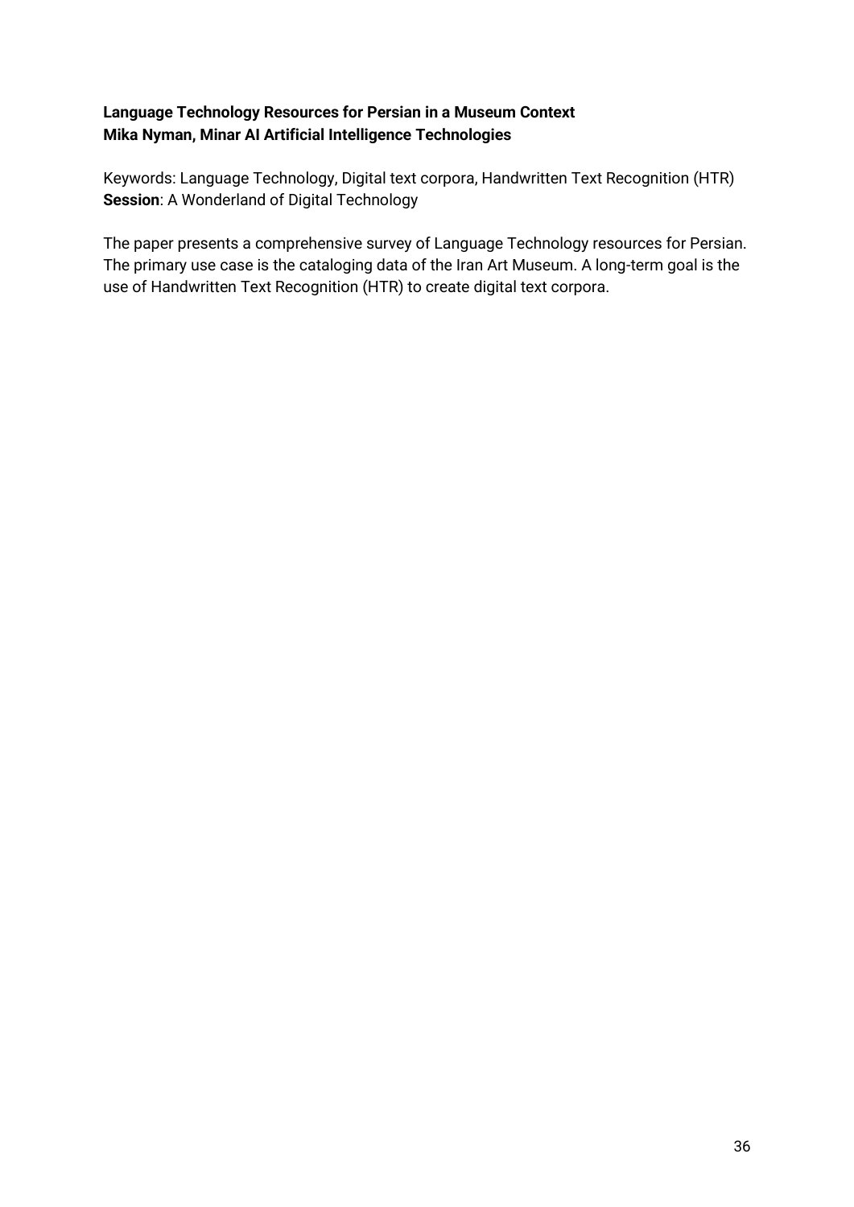### **Language Technology Resources for Persian in a Museum Context Mika Nyman, Minar AI Artificial Intelligence Technologies**

Keywords: Language Technology, Digital text corpora, Handwritten Text Recognition (HTR) **Session**: A Wonderland of Digital Technology

The paper presents a comprehensive survey of Language Technology resources for Persian. The primary use case is the cataloging data of the Iran Art Museum. A long-term goal is the use of Handwritten Text Recognition (HTR) to create digital text corpora.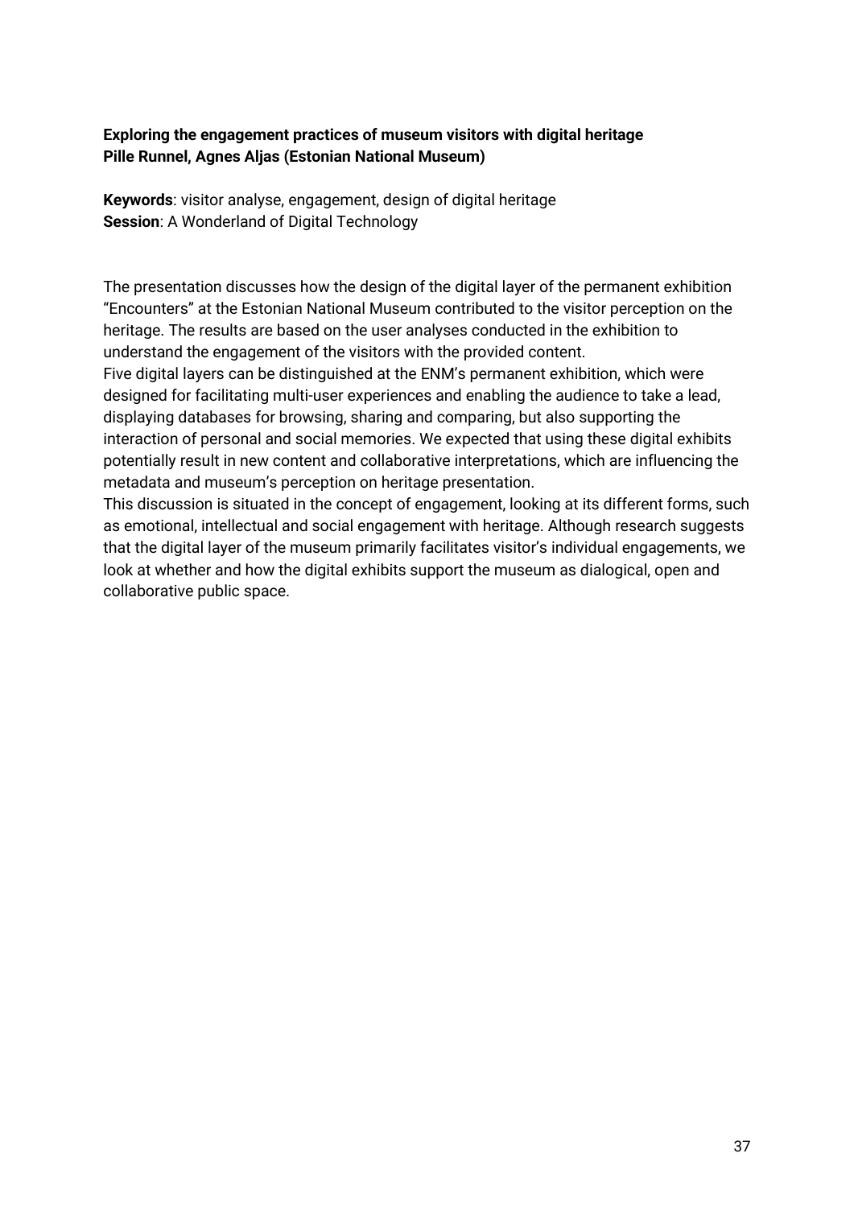### **Exploring the engagement practices of museum visitors with digital heritage Pille Runnel, Agnes Aljas (Estonian National Museum)**

**Keywords**: visitor analyse, engagement, design of digital heritage **Session**: A Wonderland of Digital Technology

The presentation discusses how the design of the digital layer of the permanent exhibition "Encounters" at the Estonian National Museum contributed to the visitor perception on the heritage. The results are based on the user analyses conducted in the exhibition to understand the engagement of the visitors with the provided content.

Five digital layers can be distinguished at the ENM's permanent exhibition, which were designed for facilitating multi-user experiences and enabling the audience to take a lead, displaying databases for browsing, sharing and comparing, but also supporting the interaction of personal and social memories. We expected that using these digital exhibits potentially result in new content and collaborative interpretations, which are influencing the metadata and museum's perception on heritage presentation.

This discussion is situated in the concept of engagement, looking at its different forms, such as emotional, intellectual and social engagement with heritage. Although research suggests that the digital layer of the museum primarily facilitates visitor's individual engagements, we look at whether and how the digital exhibits support the museum as dialogical, open and collaborative public space.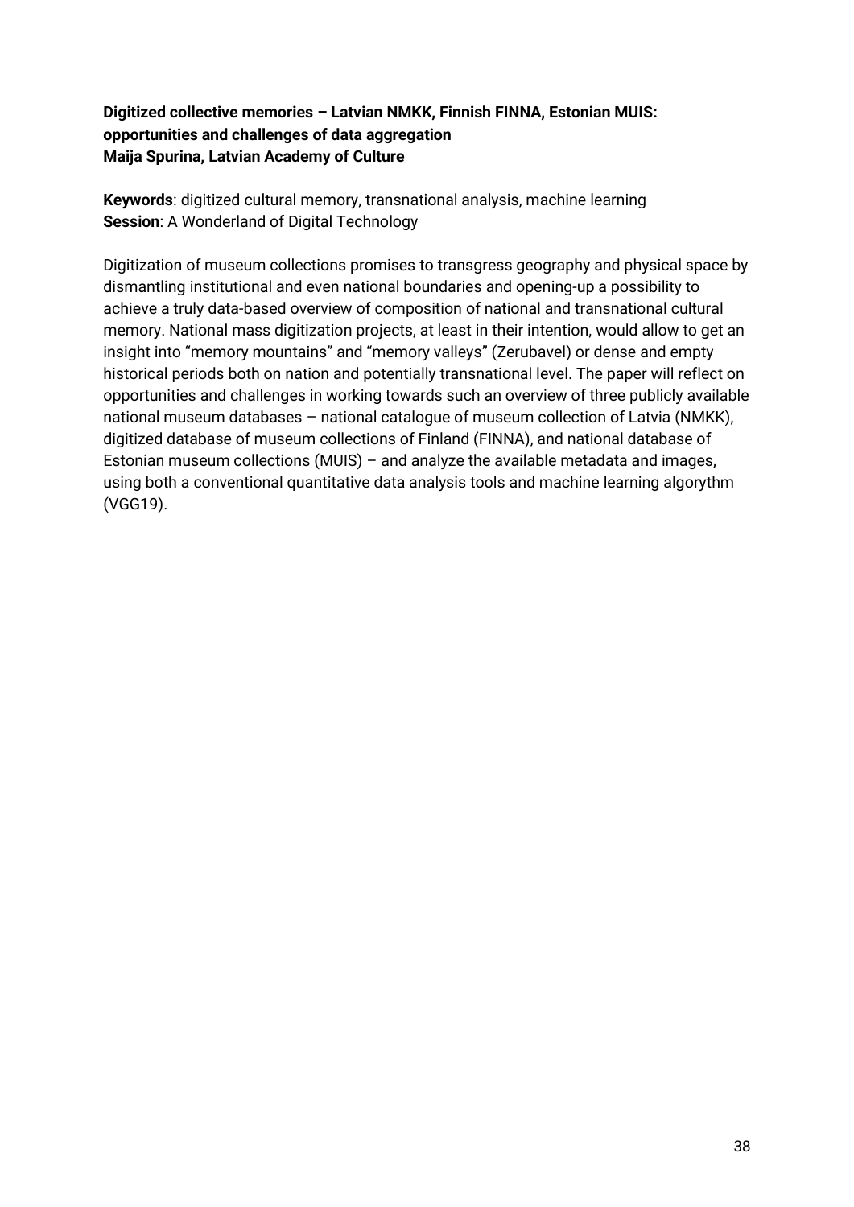### **Digitized collective memories – Latvian NMKK, Finnish FINNA, Estonian MUIS: opportunities and challenges of data aggregation Maija Spurina, Latvian Academy of Culture**

**Keywords**: digitized cultural memory, transnational analysis, machine learning **Session**: A Wonderland of Digital Technology

Digitization of museum collections promises to transgress geography and physical space by dismantling institutional and even national boundaries and opening-up a possibility to achieve a truly data-based overview of composition of national and transnational cultural memory. National mass digitization projects, at least in their intention, would allow to get an insight into "memory mountains" and "memory valleys" (Zerubavel) or dense and empty historical periods both on nation and potentially transnational level. The paper will reflect on opportunities and challenges in working towards such an overview of three publicly available national museum databases – national catalogue of museum collection of Latvia (NMKK), digitized database of museum collections of Finland (FINNA), and national database of Estonian museum collections (MUIS) – and analyze the available metadata and images, using both a conventional quantitative data analysis tools and machine learning algorythm (VGG19).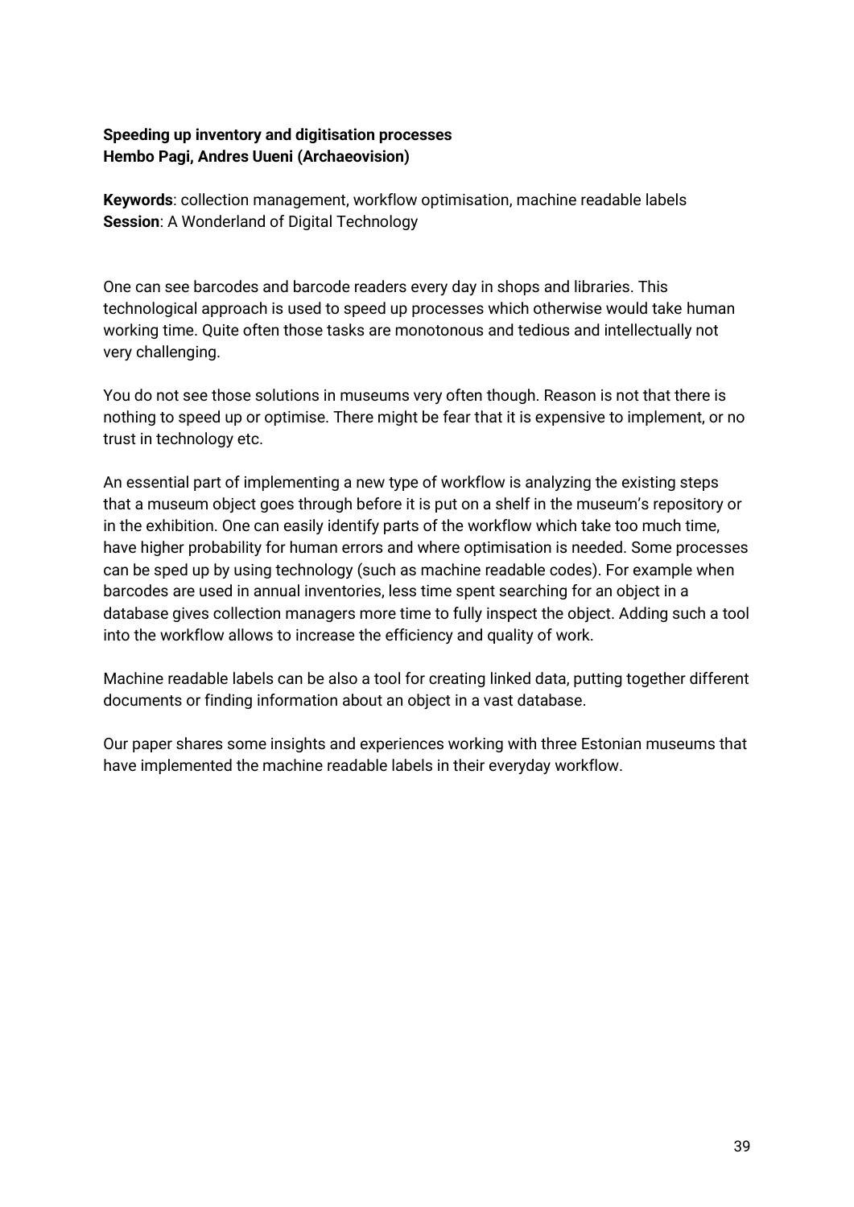### **Speeding up inventory and digitisation processes Hembo Pagi, Andres Uueni (Archaeovision)**

**Keywords**: collection management, workflow optimisation, machine readable labels **Session**: A Wonderland of Digital Technology

One can see barcodes and barcode readers every day in shops and libraries. This technological approach is used to speed up processes which otherwise would take human working time. Quite often those tasks are monotonous and tedious and intellectually not very challenging.

You do not see those solutions in museums very often though. Reason is not that there is nothing to speed up or optimise. There might be fear that it is expensive to implement, or no trust in technology etc.

An essential part of implementing a new type of workflow is analyzing the existing steps that a museum object goes through before it is put on a shelf in the museum's repository or in the exhibition. One can easily identify parts of the workflow which take too much time, have higher probability for human errors and where optimisation is needed. Some processes can be sped up by using technology (such as machine readable codes). For example when barcodes are used in annual inventories, less time spent searching for an object in a database gives collection managers more time to fully inspect the object. Adding such a tool into the workflow allows to increase the efficiency and quality of work.

Machine readable labels can be also a tool for creating linked data, putting together different documents or finding information about an object in a vast database.

Our paper shares some insights and experiences working with three Estonian museums that have implemented the machine readable labels in their everyday workflow.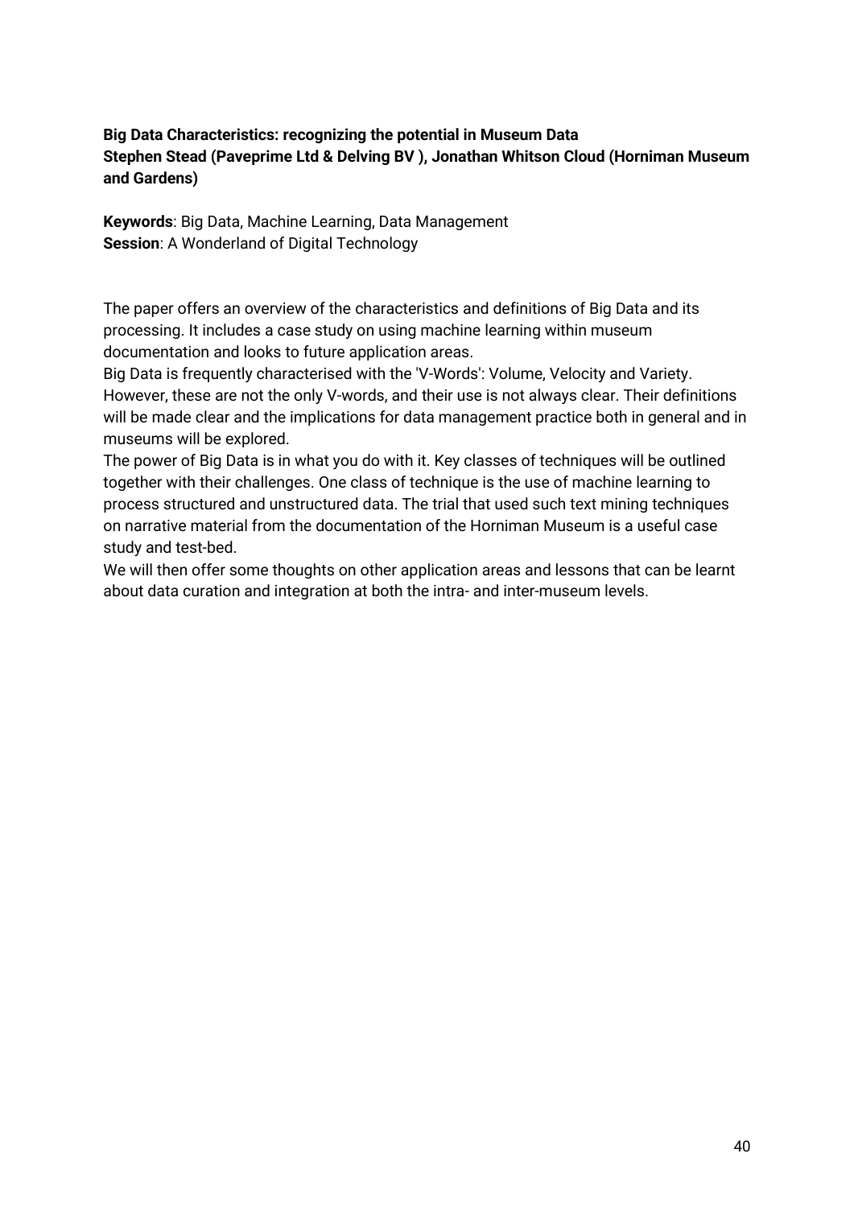### **Big Data Characteristics: recognizing the potential in Museum Data Stephen Stead (Paveprime Ltd & Delving BV ), Jonathan Whitson Cloud (Horniman Museum and Gardens)**

**Keywords**: Big Data, Machine Learning, Data Management **Session**: A Wonderland of Digital Technology

The paper offers an overview of the characteristics and definitions of Big Data and its processing. It includes a case study on using machine learning within museum documentation and looks to future application areas.

Big Data is frequently characterised with the 'V-Words': Volume, Velocity and Variety. However, these are not the only V-words, and their use is not always clear. Their definitions will be made clear and the implications for data management practice both in general and in museums will be explored.

The power of Big Data is in what you do with it. Key classes of techniques will be outlined together with their challenges. One class of technique is the use of machine learning to process structured and unstructured data. The trial that used such text mining techniques on narrative material from the documentation of the Horniman Museum is a useful case study and test-bed.

We will then offer some thoughts on other application areas and lessons that can be learnt about data curation and integration at both the intra- and inter-museum levels.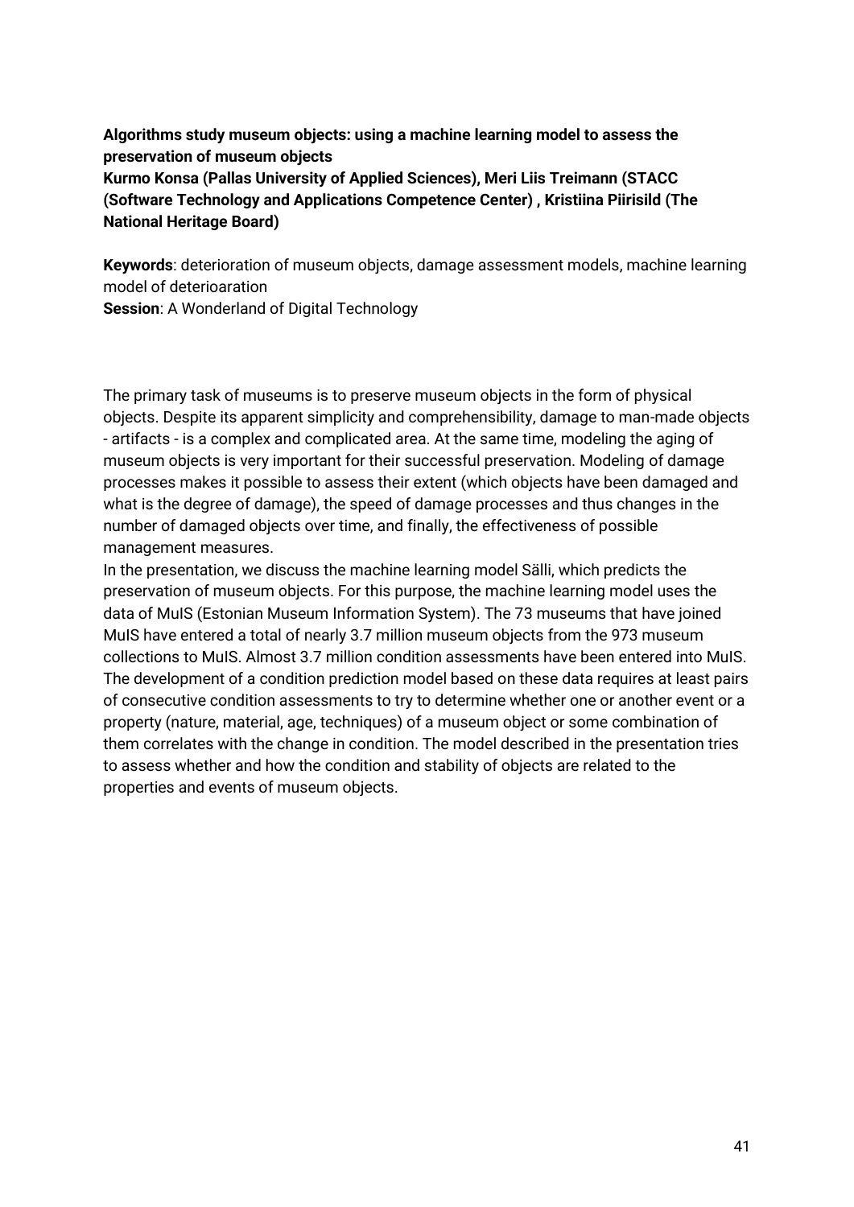## **Algorithms study museum objects: using a machine learning model to assess the preservation of museum objects Kurmo Konsa (Pallas University of Applied Sciences), Meri Liis Treimann (STACC (Software Technology and Applications Competence Center) , Kristiina Piirisild (The National Heritage Board)**

**Keywords**: deterioration of museum objects, damage assessment models, machine learning model of deterioaration

**Session:** A Wonderland of Digital Technology

The primary task of museums is to preserve museum objects in the form of physical objects. Despite its apparent simplicity and comprehensibility, damage to man-made objects - artifacts - is a complex and complicated area. At the same time, modeling the aging of museum objects is very important for their successful preservation. Modeling of damage processes makes it possible to assess their extent (which objects have been damaged and what is the degree of damage), the speed of damage processes and thus changes in the number of damaged objects over time, and finally, the effectiveness of possible management measures.

In the presentation, we discuss the machine learning model Sälli, which predicts the preservation of museum objects. For this purpose, the machine learning model uses the data of MuIS (Estonian Museum Information System). The 73 museums that have joined MuIS have entered a total of nearly 3.7 million museum objects from the 973 museum collections to MuIS. Almost 3.7 million condition assessments have been entered into MuIS. The development of a condition prediction model based on these data requires at least pairs of consecutive condition assessments to try to determine whether one or another event or a property (nature, material, age, techniques) of a museum object or some combination of them correlates with the change in condition. The model described in the presentation tries to assess whether and how the condition and stability of objects are related to the properties and events of museum objects.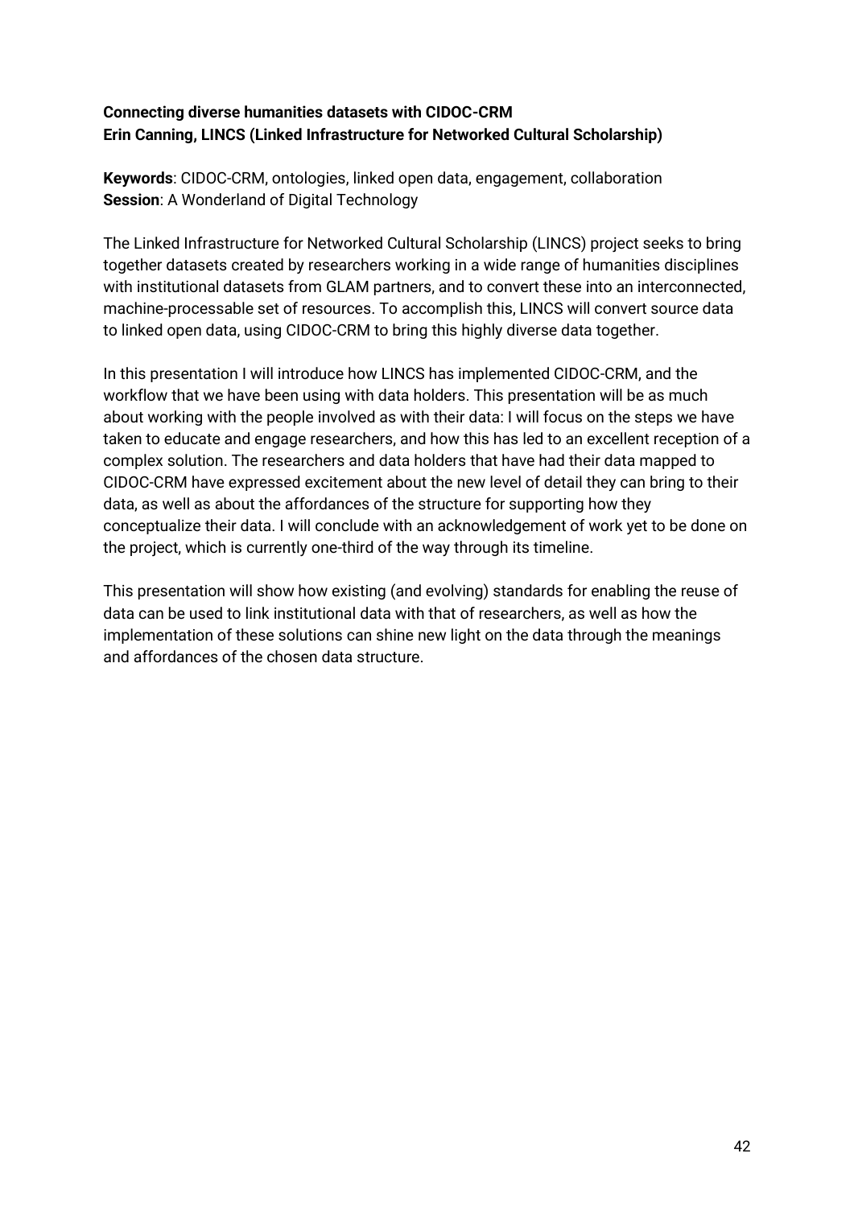### **Connecting diverse humanities datasets with CIDOC-CRM Erin Canning, LINCS (Linked Infrastructure for Networked Cultural Scholarship)**

**Keywords**: CIDOC-CRM, ontologies, linked open data, engagement, collaboration **Session**: A Wonderland of Digital Technology

The Linked Infrastructure for Networked Cultural Scholarship (LINCS) project seeks to bring together datasets created by researchers working in a wide range of humanities disciplines with institutional datasets from GLAM partners, and to convert these into an interconnected, machine-processable set of resources. To accomplish this, LINCS will convert source data to linked open data, using CIDOC-CRM to bring this highly diverse data together.

In this presentation I will introduce how LINCS has implemented CIDOC-CRM, and the workflow that we have been using with data holders. This presentation will be as much about working with the people involved as with their data: I will focus on the steps we have taken to educate and engage researchers, and how this has led to an excellent reception of a complex solution. The researchers and data holders that have had their data mapped to CIDOC-CRM have expressed excitement about the new level of detail they can bring to their data, as well as about the affordances of the structure for supporting how they conceptualize their data. I will conclude with an acknowledgement of work yet to be done on the project, which is currently one-third of the way through its timeline.

This presentation will show how existing (and evolving) standards for enabling the reuse of data can be used to link institutional data with that of researchers, as well as how the implementation of these solutions can shine new light on the data through the meanings and affordances of the chosen data structure.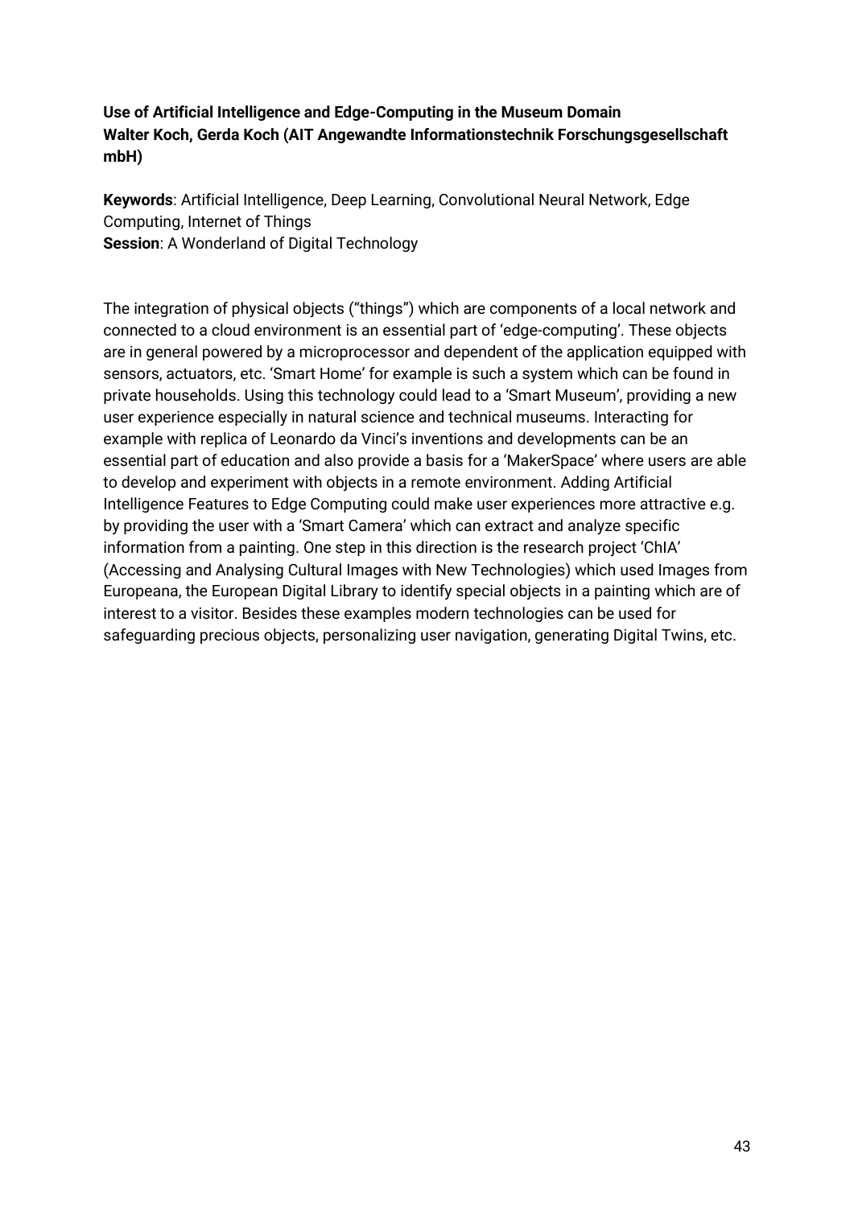### **Use of Artificial Intelligence and Edge-Computing in the Museum Domain Walter Koch, Gerda Koch (AIT Angewandte Informationstechnik Forschungsgesellschaft mbH)**

**Keywords**: Artificial Intelligence, Deep Learning, Convolutional Neural Network, Edge Computing, Internet of Things **Session**: A Wonderland of Digital Technology

The integration of physical objects ("things") which are components of a local network and connected to a cloud environment is an essential part of 'edge-computing'. These objects are in general powered by a microprocessor and dependent of the application equipped with sensors, actuators, etc. 'Smart Home' for example is such a system which can be found in private households. Using this technology could lead to a 'Smart Museum', providing a new user experience especially in natural science and technical museums. Interacting for example with replica of Leonardo da Vinci's inventions and developments can be an essential part of education and also provide a basis for a 'MakerSpace' where users are able to develop and experiment with objects in a remote environment. Adding Artificial Intelligence Features to Edge Computing could make user experiences more attractive e.g. by providing the user with a 'Smart Camera' which can extract and analyze specific information from a painting. One step in this direction is the research project 'ChIA' (Accessing and Analysing Cultural Images with New Technologies) which used Images from Europeana, the European Digital Library to identify special objects in a painting which are of interest to a visitor. Besides these examples modern technologies can be used for safeguarding precious objects, personalizing user navigation, generating Digital Twins, etc.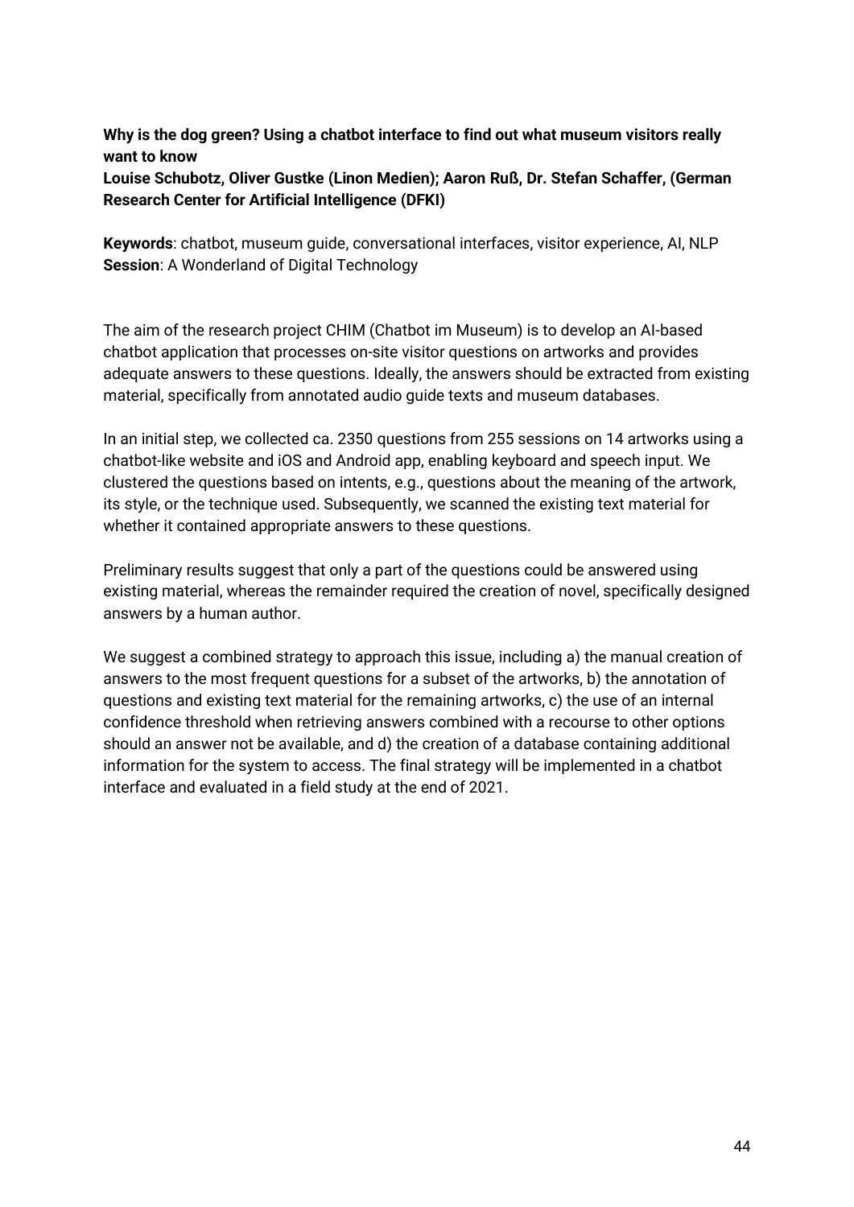### **Why is the dog green? Using a chatbot interface to find out what museum visitors really want to know**

**Louise Schubotz, Oliver Gustke (Linon Medien); Aaron Ruß, Dr. Stefan Schaffer, (German Research Center for Artificial Intelligence (DFKI)** 

**Keywords**: chatbot, museum guide, conversational interfaces, visitor experience, AI, NLP **Session**: A Wonderland of Digital Technology

The aim of the research project CHIM (Chatbot im Museum) is to develop an AI-based chatbot application that processes on-site visitor questions on artworks and provides adequate answers to these questions. Ideally, the answers should be extracted from existing material, specifically from annotated audio guide texts and museum databases.

In an initial step, we collected ca. 2350 questions from 255 sessions on 14 artworks using a chatbot-like website and iOS and Android app, enabling keyboard and speech input. We clustered the questions based on intents, e.g., questions about the meaning of the artwork, its style, or the technique used. Subsequently, we scanned the existing text material for whether it contained appropriate answers to these questions.

Preliminary results suggest that only a part of the questions could be answered using existing material, whereas the remainder required the creation of novel, specifically designed answers by a human author.

We suggest a combined strategy to approach this issue, including a) the manual creation of answers to the most frequent questions for a subset of the artworks, b) the annotation of questions and existing text material for the remaining artworks, c) the use of an internal confidence threshold when retrieving answers combined with a recourse to other options should an answer not be available, and d) the creation of a database containing additional information for the system to access. The final strategy will be implemented in a chatbot interface and evaluated in a field study at the end of 2021.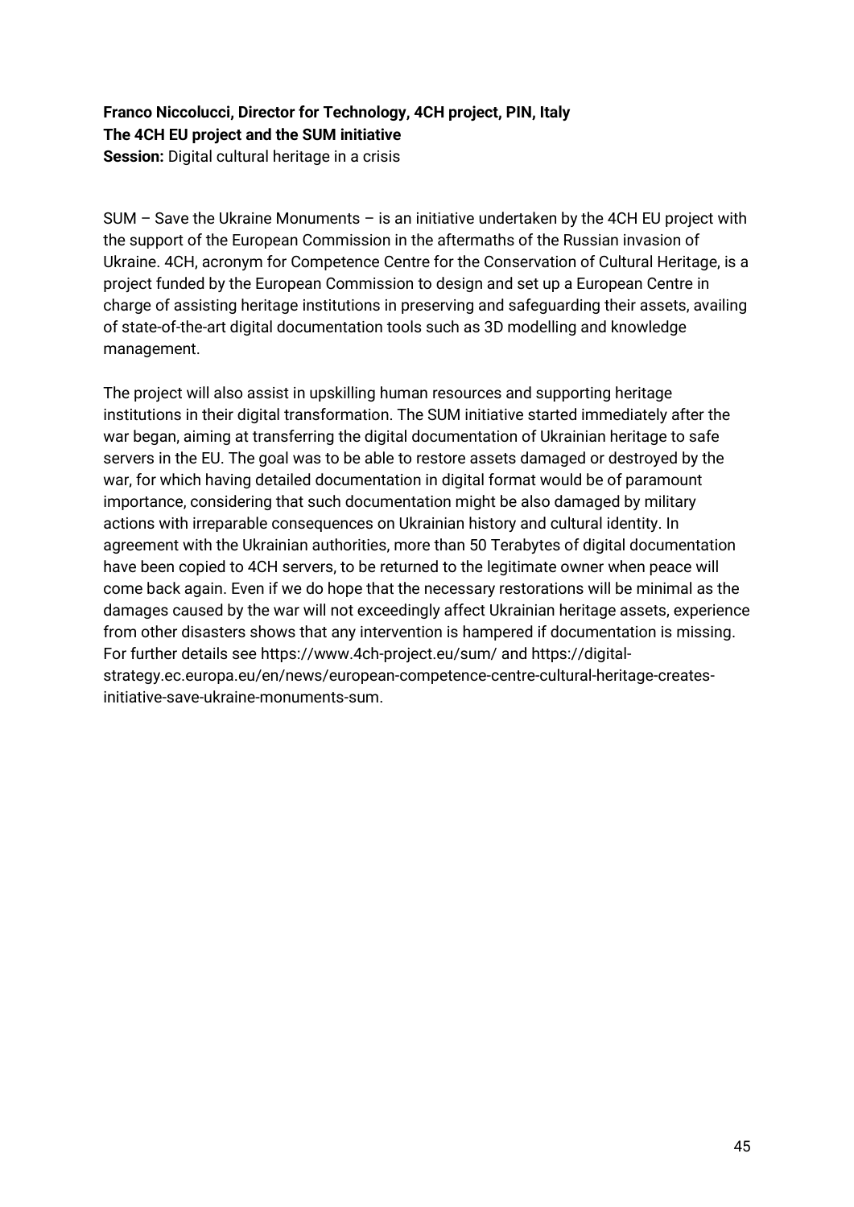### **Franco Niccolucci, Director for Technology, 4CH project, PIN, Italy The 4CH EU project and the SUM initiative Session:** Digital cultural heritage in a crisis

 $SUM - Save$  the Ukraine Monuments – is an initiative undertaken by the 4CH EU project with the support of the European Commission in the aftermaths of the Russian invasion of Ukraine. 4CH, acronym for Competence Centre for the Conservation of Cultural Heritage, is a project funded by the European Commission to design and set up a European Centre in charge of assisting heritage institutions in preserving and safeguarding their assets, availing of state-of-the-art digital documentation tools such as 3D modelling and knowledge management.

The project will also assist in upskilling human resources and supporting heritage institutions in their digital transformation. The SUM initiative started immediately after the war began, aiming at transferring the digital documentation of Ukrainian heritage to safe servers in the EU. The goal was to be able to restore assets damaged or destroyed by the war, for which having detailed documentation in digital format would be of paramount importance, considering that such documentation might be also damaged by military actions with irreparable consequences on Ukrainian history and cultural identity. In agreement with the Ukrainian authorities, more than 50 Terabytes of digital documentation have been copied to 4CH servers, to be returned to the legitimate owner when peace will come back again. Even if we do hope that the necessary restorations will be minimal as the damages caused by the war will not exceedingly affect Ukrainian heritage assets, experience from other disasters shows that any intervention is hampered if documentation is missing. For further details see <https://www.4ch-project.eu/sum/> and [https://digital](https://digital-strategy.ec.europa.eu/en/news/european-competence-centre-cultural-heritage-creates-initiative-save-ukraine-monuments-sum)[strategy.ec.europa.eu/en/news/european-competence-centre-cultural-heritage-creates](https://digital-strategy.ec.europa.eu/en/news/european-competence-centre-cultural-heritage-creates-initiative-save-ukraine-monuments-sum)[initiative-save-ukraine-monuments-sum.](https://digital-strategy.ec.europa.eu/en/news/european-competence-centre-cultural-heritage-creates-initiative-save-ukraine-monuments-sum)